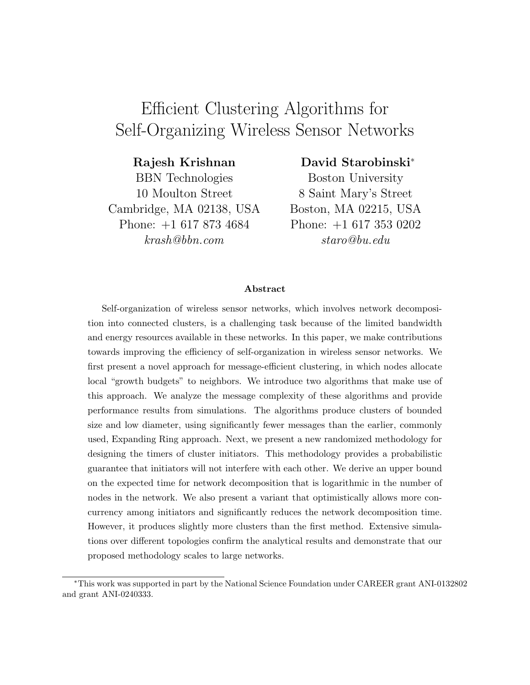# Efficient Clustering Algorithms for Self-Organizing Wireless Sensor Networks

Rajesh Krishnan BBN Technologies 10 Moulton Street Cambridge, MA 02138, USA Phone: +1 617 873 4684 krash@bbn.com

## David Starobinski<sup>∗</sup>

Boston University 8 Saint Mary's Street Boston, MA 02215, USA Phone: +1 617 353 0202 staro@bu.edu

#### Abstract

Self-organization of wireless sensor networks, which involves network decomposition into connected clusters, is a challenging task because of the limited bandwidth and energy resources available in these networks. In this paper, we make contributions towards improving the efficiency of self-organization in wireless sensor networks. We first present a novel approach for message-efficient clustering, in which nodes allocate local "growth budgets" to neighbors. We introduce two algorithms that make use of this approach. We analyze the message complexity of these algorithms and provide performance results from simulations. The algorithms produce clusters of bounded size and low diameter, using significantly fewer messages than the earlier, commonly used, Expanding Ring approach. Next, we present a new randomized methodology for designing the timers of cluster initiators. This methodology provides a probabilistic guarantee that initiators will not interfere with each other. We derive an upper bound on the expected time for network decomposition that is logarithmic in the number of nodes in the network. We also present a variant that optimistically allows more concurrency among initiators and significantly reduces the network decomposition time. However, it produces slightly more clusters than the first method. Extensive simulations over different topologies confirm the analytical results and demonstrate that our proposed methodology scales to large networks.

<sup>∗</sup>This work was supported in part by the National Science Foundation under CAREER grant ANI-0132802 and grant ANI-0240333.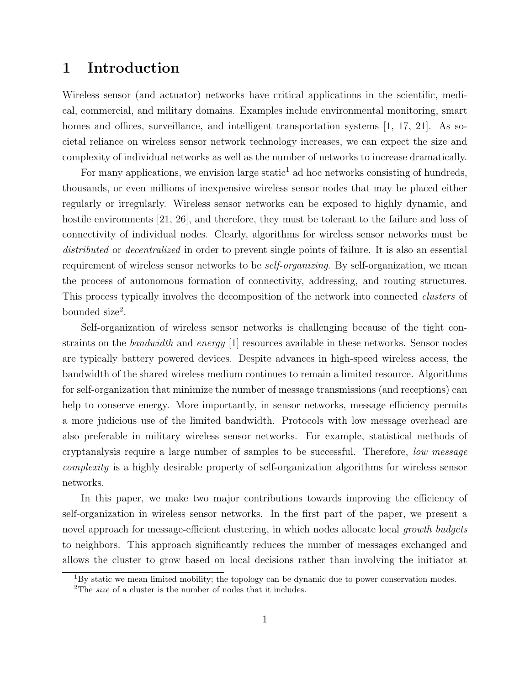## 1 Introduction

Wireless sensor (and actuator) networks have critical applications in the scientific, medical, commercial, and military domains. Examples include environmental monitoring, smart homes and offices, surveillance, and intelligent transportation systems [1, 17, 21]. As societal reliance on wireless sensor network technology increases, we can expect the size and complexity of individual networks as well as the number of networks to increase dramatically.

For many applications, we envision large static<sup>1</sup> ad hoc networks consisting of hundreds, thousands, or even millions of inexpensive wireless sensor nodes that may be placed either regularly or irregularly. Wireless sensor networks can be exposed to highly dynamic, and hostile environments [21, 26], and therefore, they must be tolerant to the failure and loss of connectivity of individual nodes. Clearly, algorithms for wireless sensor networks must be distributed or decentralized in order to prevent single points of failure. It is also an essential requirement of wireless sensor networks to be *self-organizing*. By self-organization, we mean the process of autonomous formation of connectivity, addressing, and routing structures. This process typically involves the decomposition of the network into connected clusters of bounded size<sup>2</sup>.

Self-organization of wireless sensor networks is challenging because of the tight constraints on the *bandwidth* and *energy* [1] resources available in these networks. Sensor nodes are typically battery powered devices. Despite advances in high-speed wireless access, the bandwidth of the shared wireless medium continues to remain a limited resource. Algorithms for self-organization that minimize the number of message transmissions (and receptions) can help to conserve energy. More importantly, in sensor networks, message efficiency permits a more judicious use of the limited bandwidth. Protocols with low message overhead are also preferable in military wireless sensor networks. For example, statistical methods of cryptanalysis require a large number of samples to be successful. Therefore, low message complexity is a highly desirable property of self-organization algorithms for wireless sensor networks.

In this paper, we make two major contributions towards improving the efficiency of self-organization in wireless sensor networks. In the first part of the paper, we present a novel approach for message-efficient clustering, in which nodes allocate local *growth* budgets to neighbors. This approach significantly reduces the number of messages exchanged and allows the cluster to grow based on local decisions rather than involving the initiator at

<sup>&</sup>lt;sup>1</sup>By static we mean limited mobility; the topology can be dynamic due to power conservation modes.

 $2$ The *size* of a cluster is the number of nodes that it includes.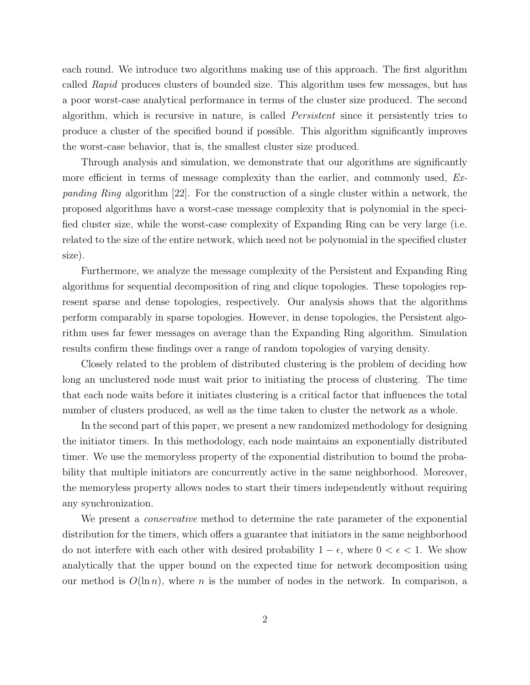each round. We introduce two algorithms making use of this approach. The first algorithm called Rapid produces clusters of bounded size. This algorithm uses few messages, but has a poor worst-case analytical performance in terms of the cluster size produced. The second algorithm, which is recursive in nature, is called *Persistent* since it persistently tries to produce a cluster of the specified bound if possible. This algorithm significantly improves the worst-case behavior, that is, the smallest cluster size produced.

Through analysis and simulation, we demonstrate that our algorithms are significantly more efficient in terms of message complexity than the earlier, and commonly used, Expanding Ring algorithm [22]. For the construction of a single cluster within a network, the proposed algorithms have a worst-case message complexity that is polynomial in the specified cluster size, while the worst-case complexity of Expanding Ring can be very large (i.e. related to the size of the entire network, which need not be polynomial in the specified cluster size).

Furthermore, we analyze the message complexity of the Persistent and Expanding Ring algorithms for sequential decomposition of ring and clique topologies. These topologies represent sparse and dense topologies, respectively. Our analysis shows that the algorithms perform comparably in sparse topologies. However, in dense topologies, the Persistent algorithm uses far fewer messages on average than the Expanding Ring algorithm. Simulation results confirm these findings over a range of random topologies of varying density.

Closely related to the problem of distributed clustering is the problem of deciding how long an unclustered node must wait prior to initiating the process of clustering. The time that each node waits before it initiates clustering is a critical factor that influences the total number of clusters produced, as well as the time taken to cluster the network as a whole.

In the second part of this paper, we present a new randomized methodology for designing the initiator timers. In this methodology, each node maintains an exponentially distributed timer. We use the memoryless property of the exponential distribution to bound the probability that multiple initiators are concurrently active in the same neighborhood. Moreover, the memoryless property allows nodes to start their timers independently without requiring any synchronization.

We present a *conservative* method to determine the rate parameter of the exponential distribution for the timers, which offers a guarantee that initiators in the same neighborhood do not interfere with each other with desired probability  $1 - \epsilon$ , where  $0 < \epsilon < 1$ . We show analytically that the upper bound on the expected time for network decomposition using our method is  $O(\ln n)$ , where n is the number of nodes in the network. In comparison, a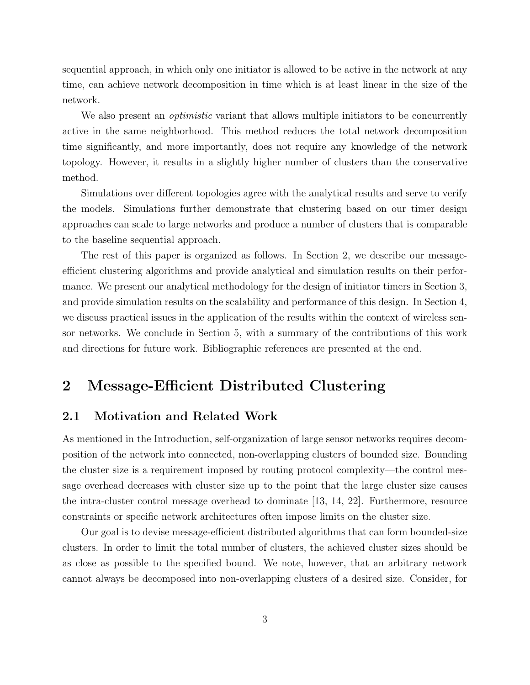sequential approach, in which only one initiator is allowed to be active in the network at any time, can achieve network decomposition in time which is at least linear in the size of the network.

We also present an *optimistic* variant that allows multiple initiators to be concurrently active in the same neighborhood. This method reduces the total network decomposition time significantly, and more importantly, does not require any knowledge of the network topology. However, it results in a slightly higher number of clusters than the conservative method.

Simulations over different topologies agree with the analytical results and serve to verify the models. Simulations further demonstrate that clustering based on our timer design approaches can scale to large networks and produce a number of clusters that is comparable to the baseline sequential approach.

The rest of this paper is organized as follows. In Section 2, we describe our messageefficient clustering algorithms and provide analytical and simulation results on their performance. We present our analytical methodology for the design of initiator timers in Section 3, and provide simulation results on the scalability and performance of this design. In Section 4, we discuss practical issues in the application of the results within the context of wireless sensor networks. We conclude in Section 5, with a summary of the contributions of this work and directions for future work. Bibliographic references are presented at the end.

## 2 Message-Efficient Distributed Clustering

### 2.1 Motivation and Related Work

As mentioned in the Introduction, self-organization of large sensor networks requires decomposition of the network into connected, non-overlapping clusters of bounded size. Bounding the cluster size is a requirement imposed by routing protocol complexity—the control message overhead decreases with cluster size up to the point that the large cluster size causes the intra-cluster control message overhead to dominate [13, 14, 22]. Furthermore, resource constraints or specific network architectures often impose limits on the cluster size.

Our goal is to devise message-efficient distributed algorithms that can form bounded-size clusters. In order to limit the total number of clusters, the achieved cluster sizes should be as close as possible to the specified bound. We note, however, that an arbitrary network cannot always be decomposed into non-overlapping clusters of a desired size. Consider, for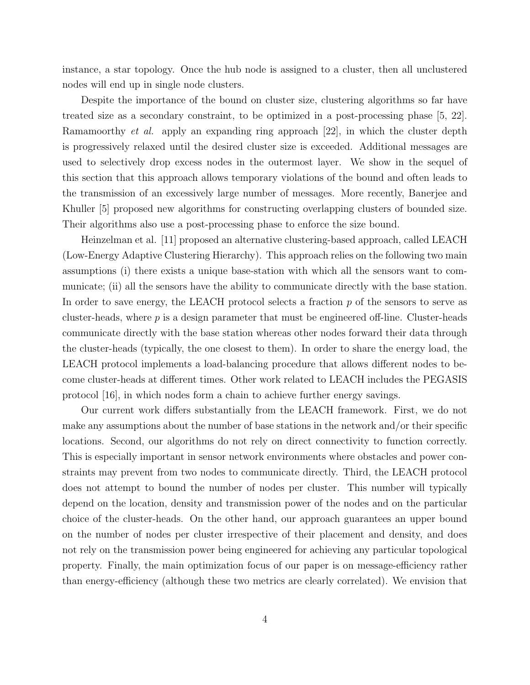instance, a star topology. Once the hub node is assigned to a cluster, then all unclustered nodes will end up in single node clusters.

Despite the importance of the bound on cluster size, clustering algorithms so far have treated size as a secondary constraint, to be optimized in a post-processing phase [5, 22]. Ramamoorthy et al. apply an expanding ring approach [22], in which the cluster depth is progressively relaxed until the desired cluster size is exceeded. Additional messages are used to selectively drop excess nodes in the outermost layer. We show in the sequel of this section that this approach allows temporary violations of the bound and often leads to the transmission of an excessively large number of messages. More recently, Banerjee and Khuller [5] proposed new algorithms for constructing overlapping clusters of bounded size. Their algorithms also use a post-processing phase to enforce the size bound.

Heinzelman et al. [11] proposed an alternative clustering-based approach, called LEACH (Low-Energy Adaptive Clustering Hierarchy). This approach relies on the following two main assumptions (i) there exists a unique base-station with which all the sensors want to communicate; (ii) all the sensors have the ability to communicate directly with the base station. In order to save energy, the LEACH protocol selects a fraction  $p$  of the sensors to serve as cluster-heads, where  $p$  is a design parameter that must be engineered off-line. Cluster-heads communicate directly with the base station whereas other nodes forward their data through the cluster-heads (typically, the one closest to them). In order to share the energy load, the LEACH protocol implements a load-balancing procedure that allows different nodes to become cluster-heads at different times. Other work related to LEACH includes the PEGASIS protocol [16], in which nodes form a chain to achieve further energy savings.

Our current work differs substantially from the LEACH framework. First, we do not make any assumptions about the number of base stations in the network and/or their specific locations. Second, our algorithms do not rely on direct connectivity to function correctly. This is especially important in sensor network environments where obstacles and power constraints may prevent from two nodes to communicate directly. Third, the LEACH protocol does not attempt to bound the number of nodes per cluster. This number will typically depend on the location, density and transmission power of the nodes and on the particular choice of the cluster-heads. On the other hand, our approach guarantees an upper bound on the number of nodes per cluster irrespective of their placement and density, and does not rely on the transmission power being engineered for achieving any particular topological property. Finally, the main optimization focus of our paper is on message-efficiency rather than energy-efficiency (although these two metrics are clearly correlated). We envision that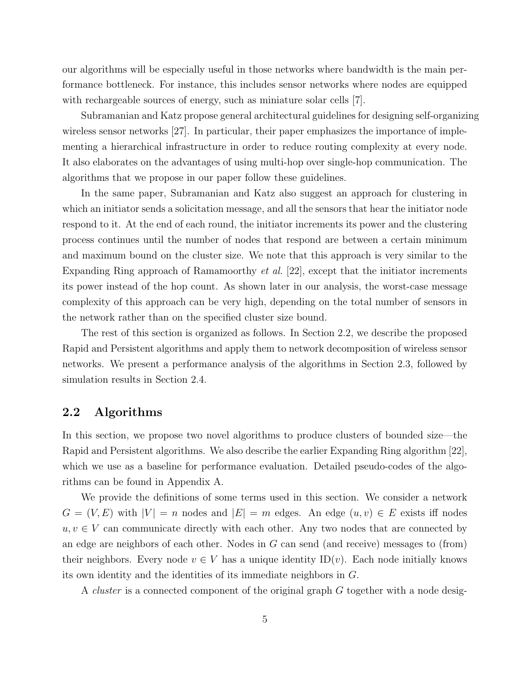our algorithms will be especially useful in those networks where bandwidth is the main performance bottleneck. For instance, this includes sensor networks where nodes are equipped with rechargeable sources of energy, such as miniature solar cells [7].

Subramanian and Katz propose general architectural guidelines for designing self-organizing wireless sensor networks [27]. In particular, their paper emphasizes the importance of implementing a hierarchical infrastructure in order to reduce routing complexity at every node. It also elaborates on the advantages of using multi-hop over single-hop communication. The algorithms that we propose in our paper follow these guidelines.

In the same paper, Subramanian and Katz also suggest an approach for clustering in which an initiator sends a solicitation message, and all the sensors that hear the initiator node respond to it. At the end of each round, the initiator increments its power and the clustering process continues until the number of nodes that respond are between a certain minimum and maximum bound on the cluster size. We note that this approach is very similar to the Expanding Ring approach of Ramamoorthy et al. [22], except that the initiator increments its power instead of the hop count. As shown later in our analysis, the worst-case message complexity of this approach can be very high, depending on the total number of sensors in the network rather than on the specified cluster size bound.

The rest of this section is organized as follows. In Section 2.2, we describe the proposed Rapid and Persistent algorithms and apply them to network decomposition of wireless sensor networks. We present a performance analysis of the algorithms in Section 2.3, followed by simulation results in Section 2.4.

### 2.2 Algorithms

In this section, we propose two novel algorithms to produce clusters of bounded size—the Rapid and Persistent algorithms. We also describe the earlier Expanding Ring algorithm [22], which we use as a baseline for performance evaluation. Detailed pseudo-codes of the algorithms can be found in Appendix A.

We provide the definitions of some terms used in this section. We consider a network  $G = (V, E)$  with  $|V| = n$  nodes and  $|E| = m$  edges. An edge  $(u, v) \in E$  exists iff nodes  $u, v \in V$  can communicate directly with each other. Any two nodes that are connected by an edge are neighbors of each other. Nodes in G can send (and receive) messages to (from) their neighbors. Every node  $v \in V$  has a unique identity ID(v). Each node initially knows its own identity and the identities of its immediate neighbors in G.

A *cluster* is a connected component of the original graph G together with a node desig-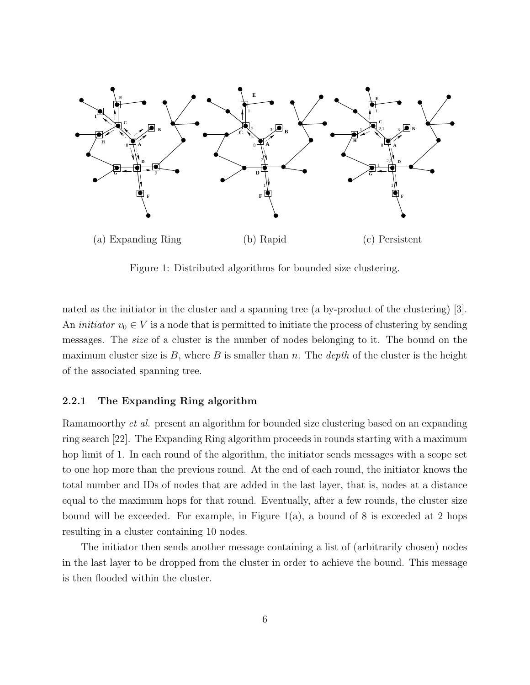

Figure 1: Distributed algorithms for bounded size clustering.

nated as the initiator in the cluster and a spanning tree (a by-product of the clustering) [3]. An *initiator*  $v_0 \in V$  is a node that is permitted to initiate the process of clustering by sending messages. The size of a cluster is the number of nodes belonging to it. The bound on the maximum cluster size is  $B$ , where  $B$  is smaller than n. The *depth* of the cluster is the height of the associated spanning tree.

### 2.2.1 The Expanding Ring algorithm

Ramamoorthy *et al.* present an algorithm for bounded size clustering based on an expanding ring search [22]. The Expanding Ring algorithm proceeds in rounds starting with a maximum hop limit of 1. In each round of the algorithm, the initiator sends messages with a scope set to one hop more than the previous round. At the end of each round, the initiator knows the total number and IDs of nodes that are added in the last layer, that is, nodes at a distance equal to the maximum hops for that round. Eventually, after a few rounds, the cluster size bound will be exceeded. For example, in Figure  $1(a)$ , a bound of 8 is exceeded at 2 hops resulting in a cluster containing 10 nodes.

The initiator then sends another message containing a list of (arbitrarily chosen) nodes in the last layer to be dropped from the cluster in order to achieve the bound. This message is then flooded within the cluster.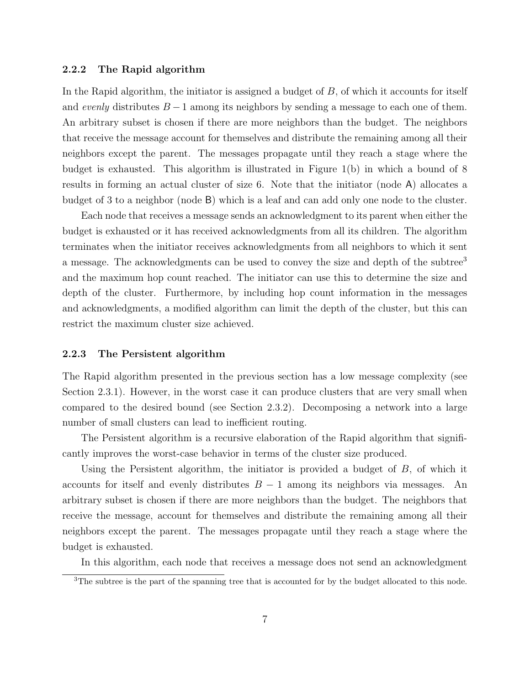### 2.2.2 The Rapid algorithm

In the Rapid algorithm, the initiator is assigned a budget of B, of which it accounts for itself and evenly distributes  $B-1$  among its neighbors by sending a message to each one of them. An arbitrary subset is chosen if there are more neighbors than the budget. The neighbors that receive the message account for themselves and distribute the remaining among all their neighbors except the parent. The messages propagate until they reach a stage where the budget is exhausted. This algorithm is illustrated in Figure 1(b) in which a bound of 8 results in forming an actual cluster of size 6. Note that the initiator (node A) allocates a budget of 3 to a neighbor (node B) which is a leaf and can add only one node to the cluster.

Each node that receives a message sends an acknowledgment to its parent when either the budget is exhausted or it has received acknowledgments from all its children. The algorithm terminates when the initiator receives acknowledgments from all neighbors to which it sent a message. The acknowledgments can be used to convey the size and depth of the subtree<sup>3</sup> and the maximum hop count reached. The initiator can use this to determine the size and depth of the cluster. Furthermore, by including hop count information in the messages and acknowledgments, a modified algorithm can limit the depth of the cluster, but this can restrict the maximum cluster size achieved.

### 2.2.3 The Persistent algorithm

The Rapid algorithm presented in the previous section has a low message complexity (see Section 2.3.1). However, in the worst case it can produce clusters that are very small when compared to the desired bound (see Section 2.3.2). Decomposing a network into a large number of small clusters can lead to inefficient routing.

The Persistent algorithm is a recursive elaboration of the Rapid algorithm that significantly improves the worst-case behavior in terms of the cluster size produced.

Using the Persistent algorithm, the initiator is provided a budget of B, of which it accounts for itself and evenly distributes  $B - 1$  among its neighbors via messages. An arbitrary subset is chosen if there are more neighbors than the budget. The neighbors that receive the message, account for themselves and distribute the remaining among all their neighbors except the parent. The messages propagate until they reach a stage where the budget is exhausted.

In this algorithm, each node that receives a message does not send an acknowledgment

<sup>&</sup>lt;sup>3</sup>The subtree is the part of the spanning tree that is accounted for by the budget allocated to this node.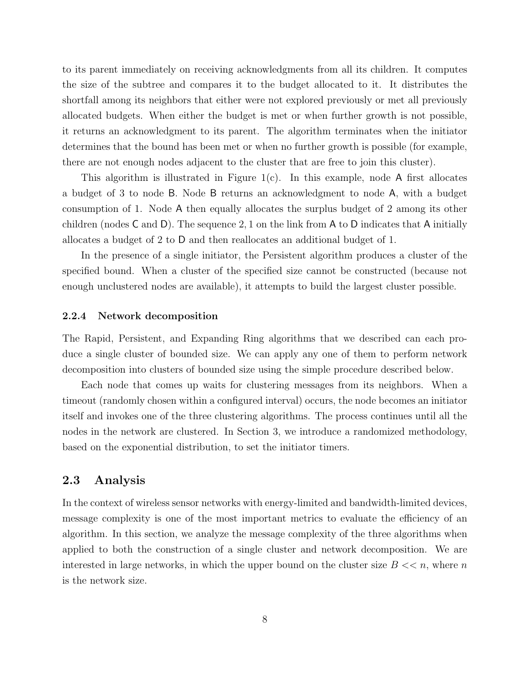to its parent immediately on receiving acknowledgments from all its children. It computes the size of the subtree and compares it to the budget allocated to it. It distributes the shortfall among its neighbors that either were not explored previously or met all previously allocated budgets. When either the budget is met or when further growth is not possible, it returns an acknowledgment to its parent. The algorithm terminates when the initiator determines that the bound has been met or when no further growth is possible (for example, there are not enough nodes adjacent to the cluster that are free to join this cluster).

This algorithm is illustrated in Figure 1(c). In this example, node A first allocates a budget of 3 to node B. Node B returns an acknowledgment to node A, with a budget consumption of 1. Node A then equally allocates the surplus budget of 2 among its other children (nodes  $C$  and  $D$ ). The sequence 2, 1 on the link from  $A$  to  $D$  indicates that  $A$  initially allocates a budget of 2 to D and then reallocates an additional budget of 1.

In the presence of a single initiator, the Persistent algorithm produces a cluster of the specified bound. When a cluster of the specified size cannot be constructed (because not enough unclustered nodes are available), it attempts to build the largest cluster possible.

### 2.2.4 Network decomposition

The Rapid, Persistent, and Expanding Ring algorithms that we described can each produce a single cluster of bounded size. We can apply any one of them to perform network decomposition into clusters of bounded size using the simple procedure described below.

Each node that comes up waits for clustering messages from its neighbors. When a timeout (randomly chosen within a configured interval) occurs, the node becomes an initiator itself and invokes one of the three clustering algorithms. The process continues until all the nodes in the network are clustered. In Section 3, we introduce a randomized methodology, based on the exponential distribution, to set the initiator timers.

### 2.3 Analysis

In the context of wireless sensor networks with energy-limited and bandwidth-limited devices, message complexity is one of the most important metrics to evaluate the efficiency of an algorithm. In this section, we analyze the message complexity of the three algorithms when applied to both the construction of a single cluster and network decomposition. We are interested in large networks, in which the upper bound on the cluster size  $B \ll n$ , where n is the network size.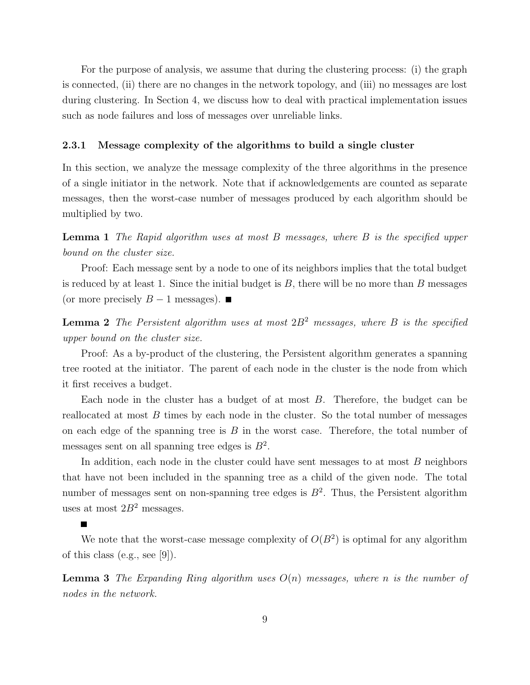For the purpose of analysis, we assume that during the clustering process: (i) the graph is connected, (ii) there are no changes in the network topology, and (iii) no messages are lost during clustering. In Section 4, we discuss how to deal with practical implementation issues such as node failures and loss of messages over unreliable links.

### 2.3.1 Message complexity of the algorithms to build a single cluster

In this section, we analyze the message complexity of the three algorithms in the presence of a single initiator in the network. Note that if acknowledgements are counted as separate messages, then the worst-case number of messages produced by each algorithm should be multiplied by two.

Lemma 1 The Rapid algorithm uses at most B messages, where B is the specified upper bound on the cluster size.

Proof: Each message sent by a node to one of its neighbors implies that the total budget is reduced by at least 1. Since the initial budget is  $B$ , there will be no more than  $B$  messages (or more precisely  $B-1$  messages). ■

**Lemma 2** The Persistent algorithm uses at most  $2B^2$  messages, where B is the specified upper bound on the cluster size.

Proof: As a by-product of the clustering, the Persistent algorithm generates a spanning tree rooted at the initiator. The parent of each node in the cluster is the node from which it first receives a budget.

Each node in the cluster has a budget of at most  $B$ . Therefore, the budget can be reallocated at most  $B$  times by each node in the cluster. So the total number of messages on each edge of the spanning tree is  $B$  in the worst case. Therefore, the total number of messages sent on all spanning tree edges is  $B^2$ .

In addition, each node in the cluster could have sent messages to at most  $B$  neighbors that have not been included in the spanning tree as a child of the given node. The total number of messages sent on non-spanning tree edges is  $B<sup>2</sup>$ . Thus, the Persistent algorithm uses at most  $2B^2$  messages.

We note that the worst-case message complexity of  $O(B^2)$  is optimal for any algorithm of this class (e.g., see  $[9]$ ).

**Lemma 3** The Expanding Ring algorithm uses  $O(n)$  messages, where n is the number of nodes in the network.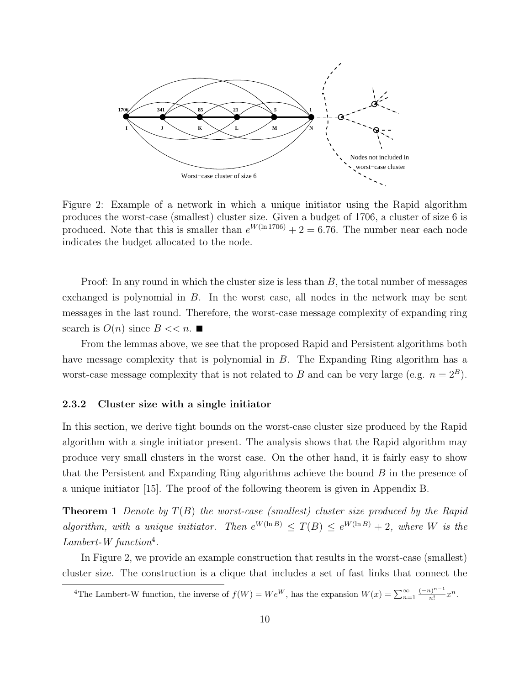

Figure 2: Example of a network in which a unique initiator using the Rapid algorithm produces the worst-case (smallest) cluster size. Given a budget of 1706, a cluster of size 6 is produced. Note that this is smaller than  $e^{W(\ln 1706)} + 2 = 6.76$ . The number near each node indicates the budget allocated to the node.

Proof: In any round in which the cluster size is less than  $B$ , the total number of messages exchanged is polynomial in  $B$ . In the worst case, all nodes in the network may be sent messages in the last round. Therefore, the worst-case message complexity of expanding ring search is  $O(n)$  since  $B \ll n$ .

From the lemmas above, we see that the proposed Rapid and Persistent algorithms both have message complexity that is polynomial in B. The Expanding Ring algorithm has a worst-case message complexity that is not related to B and can be very large (e.g.  $n = 2<sup>B</sup>$ ).

### 2.3.2 Cluster size with a single initiator

In this section, we derive tight bounds on the worst-case cluster size produced by the Rapid algorithm with a single initiator present. The analysis shows that the Rapid algorithm may produce very small clusters in the worst case. On the other hand, it is fairly easy to show that the Persistent and Expanding Ring algorithms achieve the bound B in the presence of a unique initiator [15]. The proof of the following theorem is given in Appendix B.

**Theorem 1** Denote by  $T(B)$  the worst-case (smallest) cluster size produced by the Rapid algorithm, with a unique initiator. Then  $e^{W(\ln B)} \leq T(B) \leq e^{W(\ln B)} + 2$ , where W is the Lambert-W function<sup>4</sup>.

In Figure 2, we provide an example construction that results in the worst-case (smallest) cluster size. The construction is a clique that includes a set of fast links that connect the

<sup>&</sup>lt;sup>4</sup>The Lambert-W function, the inverse of  $f(W) = We^W$ , has the expansion  $W(x) = \sum_{n=1}^{\infty} \frac{(-n)^{n-1}}{n!}$  $\frac{n}{n!}x^n$ .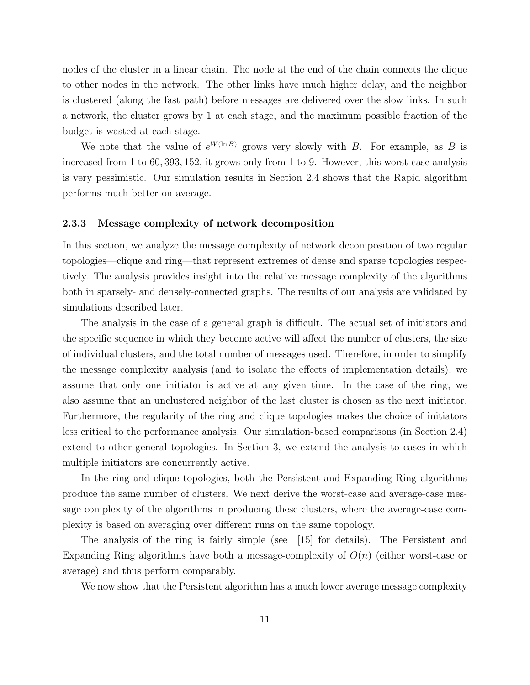nodes of the cluster in a linear chain. The node at the end of the chain connects the clique to other nodes in the network. The other links have much higher delay, and the neighbor is clustered (along the fast path) before messages are delivered over the slow links. In such a network, the cluster grows by 1 at each stage, and the maximum possible fraction of the budget is wasted at each stage.

We note that the value of  $e^{W(\ln B)}$  grows very slowly with B. For example, as B is increased from 1 to 60, 393, 152, it grows only from 1 to 9. However, this worst-case analysis is very pessimistic. Our simulation results in Section 2.4 shows that the Rapid algorithm performs much better on average.

### 2.3.3 Message complexity of network decomposition

In this section, we analyze the message complexity of network decomposition of two regular topologies—clique and ring—that represent extremes of dense and sparse topologies respectively. The analysis provides insight into the relative message complexity of the algorithms both in sparsely- and densely-connected graphs. The results of our analysis are validated by simulations described later.

The analysis in the case of a general graph is difficult. The actual set of initiators and the specific sequence in which they become active will affect the number of clusters, the size of individual clusters, and the total number of messages used. Therefore, in order to simplify the message complexity analysis (and to isolate the effects of implementation details), we assume that only one initiator is active at any given time. In the case of the ring, we also assume that an unclustered neighbor of the last cluster is chosen as the next initiator. Furthermore, the regularity of the ring and clique topologies makes the choice of initiators less critical to the performance analysis. Our simulation-based comparisons (in Section 2.4) extend to other general topologies. In Section 3, we extend the analysis to cases in which multiple initiators are concurrently active.

In the ring and clique topologies, both the Persistent and Expanding Ring algorithms produce the same number of clusters. We next derive the worst-case and average-case message complexity of the algorithms in producing these clusters, where the average-case complexity is based on averaging over different runs on the same topology.

The analysis of the ring is fairly simple (see [15] for details). The Persistent and Expanding Ring algorithms have both a message-complexity of  $O(n)$  (either worst-case or average) and thus perform comparably.

We now show that the Persistent algorithm has a much lower average message complexity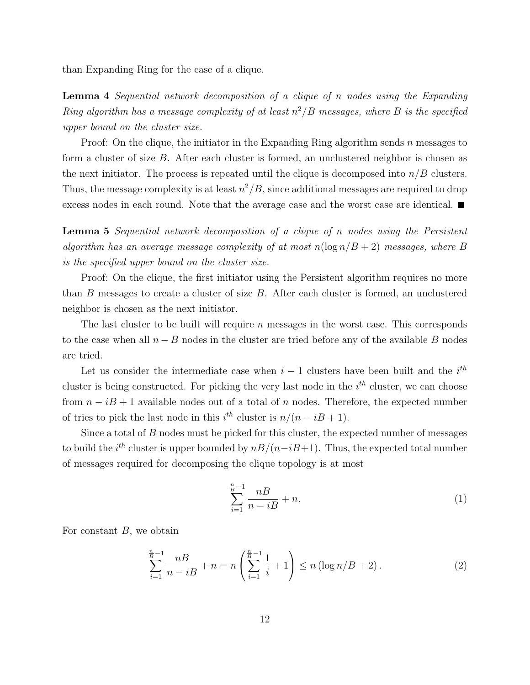than Expanding Ring for the case of a clique.

Lemma 4 Sequential network decomposition of a clique of n nodes using the Expanding Ring algorithm has a message complexity of at least  $n^2/B$  messages, where B is the specified upper bound on the cluster size.

Proof: On the clique, the initiator in the Expanding Ring algorithm sends  $n$  messages to form a cluster of size B. After each cluster is formed, an unclustered neighbor is chosen as the next initiator. The process is repeated until the clique is decomposed into  $n/B$  clusters. Thus, the message complexity is at least  $n^2/B$ , since additional messages are required to drop excess nodes in each round. Note that the average case and the worst case are identical.

Lemma 5 Sequential network decomposition of a clique of n nodes using the Persistent algorithm has an average message complexity of at most  $n(\log n/B + 2)$  messages, where B is the specified upper bound on the cluster size.

Proof: On the clique, the first initiator using the Persistent algorithm requires no more than B messages to create a cluster of size B. After each cluster is formed, an unclustered neighbor is chosen as the next initiator.

The last cluster to be built will require  $n$  messages in the worst case. This corresponds to the case when all  $n - B$  nodes in the cluster are tried before any of the available B nodes are tried.

Let us consider the intermediate case when  $i-1$  clusters have been built and the  $i^{th}$ cluster is being constructed. For picking the very last node in the  $i<sup>th</sup>$  cluster, we can choose from  $n - iB + 1$  available nodes out of a total of n nodes. Therefore, the expected number of tries to pick the last node in this  $i^{th}$  cluster is  $n/(n - iB + 1)$ .

Since a total of  $B$  nodes must be picked for this cluster, the expected number of messages to build the i<sup>th</sup> cluster is upper bounded by  $nB/(n-iB+1)$ . Thus, the expected total number of messages required for decomposing the clique topology is at most

$$
\sum_{i=1}^{\frac{n}{B}-1} \frac{nB}{n-iB} + n.
$$
 (1)

For constant  $B$ , we obtain

$$
\sum_{i=1}^{\frac{n}{B}-1} \frac{nB}{n-iB} + n = n \left( \sum_{i=1}^{\frac{n}{B}-1} \frac{1}{i} + 1 \right) \le n \left( \log n / B + 2 \right). \tag{2}
$$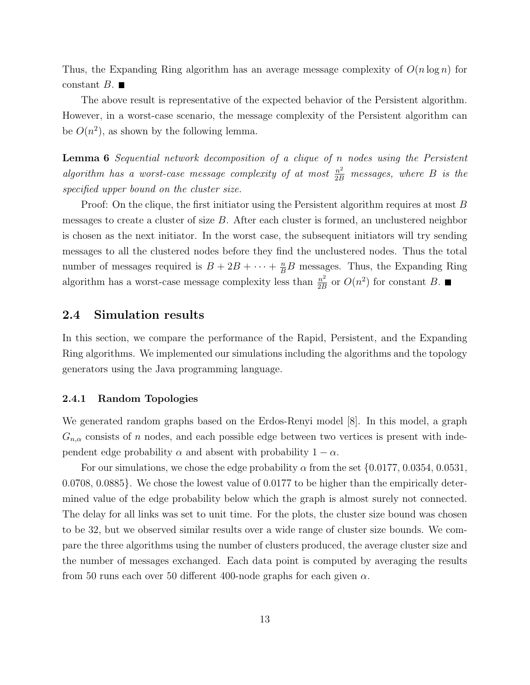Thus, the Expanding Ring algorithm has an average message complexity of  $O(n \log n)$  for constant  $B$ .

The above result is representative of the expected behavior of the Persistent algorithm. However, in a worst-case scenario, the message complexity of the Persistent algorithm can be  $O(n^2)$ , as shown by the following lemma.

Lemma 6 Sequential network decomposition of a clique of n nodes using the Persistent algorithm has a worst-case message complexity of at most  $\frac{n^2}{2B}$  messages, where B is the specified upper bound on the cluster size.

Proof: On the clique, the first initiator using the Persistent algorithm requires at most B messages to create a cluster of size  $B$ . After each cluster is formed, an unclustered neighbor is chosen as the next initiator. In the worst case, the subsequent initiators will try sending messages to all the clustered nodes before they find the unclustered nodes. Thus the total number of messages required is  $B + 2B + \cdots + \frac{n}{B}B$  messages. Thus, the Expanding Ring algorithm has a worst-case message complexity less than  $\frac{n^2}{2R}$  $\frac{n^2}{2B}$  or  $O(n^2)$  for constant B.

### 2.4 Simulation results

In this section, we compare the performance of the Rapid, Persistent, and the Expanding Ring algorithms. We implemented our simulations including the algorithms and the topology generators using the Java programming language.

### 2.4.1 Random Topologies

We generated random graphs based on the Erdos-Renyi model [8]. In this model, a graph  $G_{n,\alpha}$  consists of n nodes, and each possible edge between two vertices is present with independent edge probability  $\alpha$  and absent with probability  $1 - \alpha$ .

For our simulations, we chose the edge probability  $\alpha$  from the set {0.0177, 0.0354, 0.0531, 0.0708, 0.0885}. We chose the lowest value of 0.0177 to be higher than the empirically determined value of the edge probability below which the graph is almost surely not connected. The delay for all links was set to unit time. For the plots, the cluster size bound was chosen to be 32, but we observed similar results over a wide range of cluster size bounds. We compare the three algorithms using the number of clusters produced, the average cluster size and the number of messages exchanged. Each data point is computed by averaging the results from 50 runs each over 50 different 400-node graphs for each given  $\alpha$ .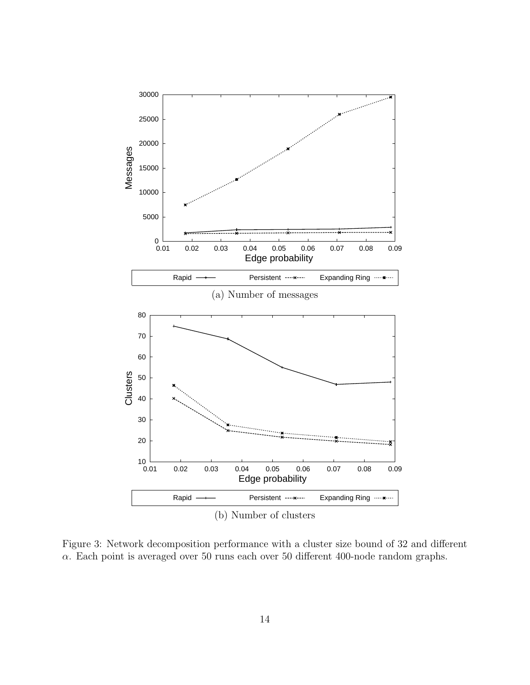

Figure 3: Network decomposition performance with a cluster size bound of 32 and different  $\alpha$ . Each point is averaged over 50 runs each over 50 different 400-node random graphs.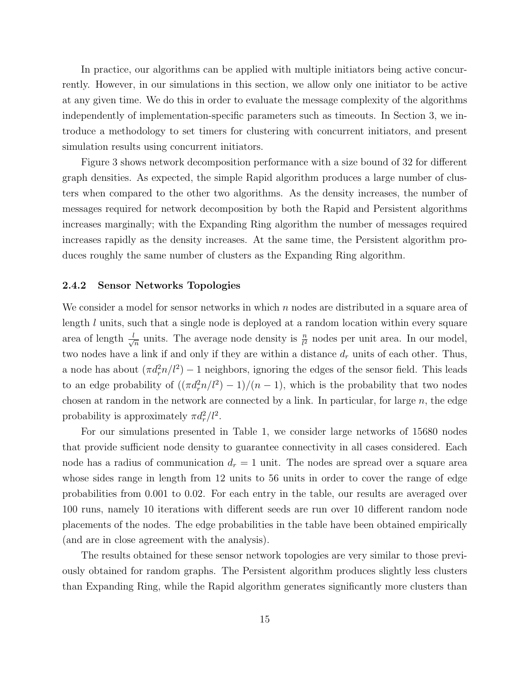In practice, our algorithms can be applied with multiple initiators being active concurrently. However, in our simulations in this section, we allow only one initiator to be active at any given time. We do this in order to evaluate the message complexity of the algorithms independently of implementation-specific parameters such as timeouts. In Section 3, we introduce a methodology to set timers for clustering with concurrent initiators, and present simulation results using concurrent initiators.

Figure 3 shows network decomposition performance with a size bound of 32 for different graph densities. As expected, the simple Rapid algorithm produces a large number of clusters when compared to the other two algorithms. As the density increases, the number of messages required for network decomposition by both the Rapid and Persistent algorithms increases marginally; with the Expanding Ring algorithm the number of messages required increases rapidly as the density increases. At the same time, the Persistent algorithm produces roughly the same number of clusters as the Expanding Ring algorithm.

### 2.4.2 Sensor Networks Topologies

We consider a model for sensor networks in which  $n$  nodes are distributed in a square area of length l units, such that a single node is deployed at a random location within every square area of length  $\frac{l}{l}$  $\frac{1}{n}$  units. The average node density is  $\frac{n}{l^2}$  nodes per unit area. In our model, two nodes have a link if and only if they are within a distance  $d_r$  units of each other. Thus, a node has about  $(\pi d_r^2 n/l^2) - 1$  neighbors, ignoring the edges of the sensor field. This leads to an edge probability of  $((\pi d_r^2 n/l^2) - 1)/(n - 1)$ , which is the probability that two nodes chosen at random in the network are connected by a link. In particular, for large  $n$ , the edge probability is approximately  $\pi d_r^2/l^2$ .

For our simulations presented in Table 1, we consider large networks of 15680 nodes that provide sufficient node density to guarantee connectivity in all cases considered. Each node has a radius of communication  $d_r = 1$  unit. The nodes are spread over a square area whose sides range in length from 12 units to 56 units in order to cover the range of edge probabilities from 0.001 to 0.02. For each entry in the table, our results are averaged over 100 runs, namely 10 iterations with different seeds are run over 10 different random node placements of the nodes. The edge probabilities in the table have been obtained empirically (and are in close agreement with the analysis).

The results obtained for these sensor network topologies are very similar to those previously obtained for random graphs. The Persistent algorithm produces slightly less clusters than Expanding Ring, while the Rapid algorithm generates significantly more clusters than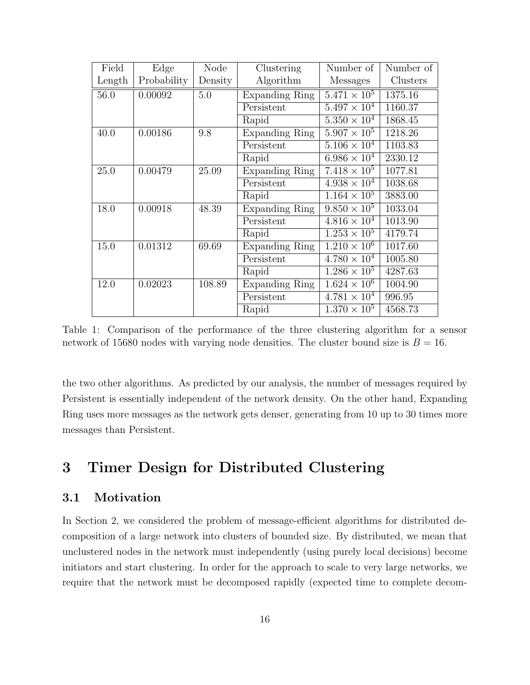| Field  | Edge        | Node    | Clustering            | Number of             | Number of |
|--------|-------------|---------|-----------------------|-----------------------|-----------|
| Length | Probability | Density | Algorithm<br>Messages |                       | Clusters  |
| 56.0   | 0.00092     | 5.0     | Expanding Ring        | $5.471 \times 10^5$   |           |
|        |             |         | Persistent            | $5.497\times10^{4}$   | 1160.37   |
|        |             |         | Rapid                 | $5.350 \times 10^{4}$ | 1868.45   |
| 40.0   | 0.00186     | 9.8     | <b>Expanding Ring</b> | $5.907 \times 10^5$   | 1218.26   |
|        |             |         | Persistent            | $5.106 \times 10^{4}$ | 1103.83   |
|        |             |         | Rapid                 | $6.986 \times 10^{4}$ | 2330.12   |
| 25.0   | 0.00479     | 25.09   | Expanding Ring        | $7.418 \times 10^{5}$ | 1077.81   |
|        |             |         | Persistent            | $4.938 \times 10^{4}$ | 1038.68   |
|        |             |         | Rapid                 | $1.164 \times 10^5$   | 3883.00   |
| 18.0   | 0.00918     | 48.39   | Expanding Ring        | $9.850 \times 10^5$   | 1033.04   |
|        |             |         | Persistent            | $4.816 \times 10^{4}$ | 1013.90   |
|        |             |         | Rapid                 | $1.253 \times 10^5$   | 4179.74   |
| 15.0   | 0.01312     | 69.69   | <b>Expanding Ring</b> | $1.210 \times 10^6$   | 1017.60   |
|        |             |         | Persistent            | $4.780 \times 10^{4}$ | 1005.80   |
|        |             |         | Rapid                 | $1.286 \times 10^5$   | 4287.63   |
| 12.0   | 0.02023     | 108.89  | Expanding Ring        | $1.624 \times 10^6$   | 1004.90   |
|        |             |         | Persistent            | $4.781 \times 10^{4}$ | 996.95    |
|        |             |         | Rapid                 | $1.370 \times 10^5$   | 4568.73   |

Table 1: Comparison of the performance of the three clustering algorithm for a sensor network of 15680 nodes with varying node densities. The cluster bound size is  $B = 16$ .

the two other algorithms. As predicted by our analysis, the number of messages required by Persistent is essentially independent of the network density. On the other hand, Expanding Ring uses more messages as the network gets denser, generating from 10 up to 30 times more messages than Persistent.

## 3 Timer Design for Distributed Clustering

### 3.1 Motivation

In Section 2, we considered the problem of message-efficient algorithms for distributed decomposition of a large network into clusters of bounded size. By distributed, we mean that unclustered nodes in the network must independently (using purely local decisions) become initiators and start clustering. In order for the approach to scale to very large networks, we require that the network must be decomposed rapidly (expected time to complete decom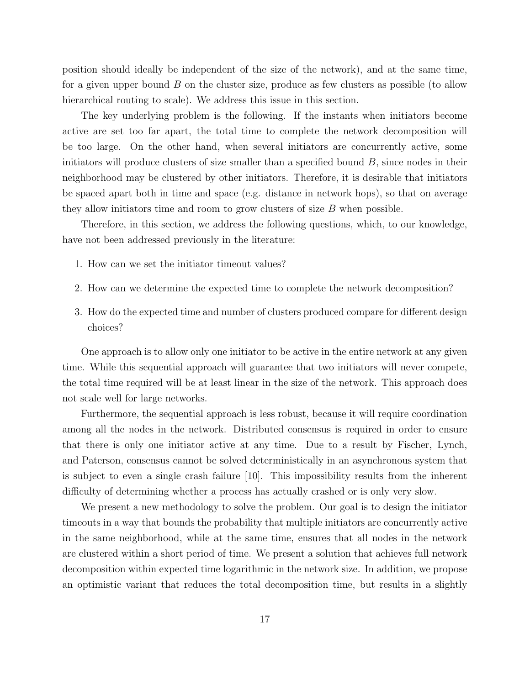position should ideally be independent of the size of the network), and at the same time, for a given upper bound  $B$  on the cluster size, produce as few clusters as possible (to allow hierarchical routing to scale). We address this issue in this section.

The key underlying problem is the following. If the instants when initiators become active are set too far apart, the total time to complete the network decomposition will be too large. On the other hand, when several initiators are concurrently active, some initiators will produce clusters of size smaller than a specified bound  $B$ , since nodes in their neighborhood may be clustered by other initiators. Therefore, it is desirable that initiators be spaced apart both in time and space (e.g. distance in network hops), so that on average they allow initiators time and room to grow clusters of size  $B$  when possible.

Therefore, in this section, we address the following questions, which, to our knowledge, have not been addressed previously in the literature:

- 1. How can we set the initiator timeout values?
- 2. How can we determine the expected time to complete the network decomposition?
- 3. How do the expected time and number of clusters produced compare for different design choices?

One approach is to allow only one initiator to be active in the entire network at any given time. While this sequential approach will guarantee that two initiators will never compete, the total time required will be at least linear in the size of the network. This approach does not scale well for large networks.

Furthermore, the sequential approach is less robust, because it will require coordination among all the nodes in the network. Distributed consensus is required in order to ensure that there is only one initiator active at any time. Due to a result by Fischer, Lynch, and Paterson, consensus cannot be solved deterministically in an asynchronous system that is subject to even a single crash failure [10]. This impossibility results from the inherent difficulty of determining whether a process has actually crashed or is only very slow.

We present a new methodology to solve the problem. Our goal is to design the initiator timeouts in a way that bounds the probability that multiple initiators are concurrently active in the same neighborhood, while at the same time, ensures that all nodes in the network are clustered within a short period of time. We present a solution that achieves full network decomposition within expected time logarithmic in the network size. In addition, we propose an optimistic variant that reduces the total decomposition time, but results in a slightly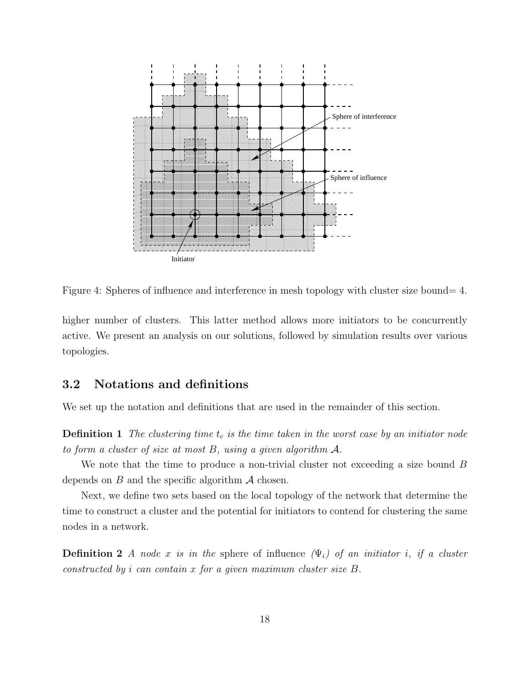

Figure 4: Spheres of influence and interference in mesh topology with cluster size bound= 4.

higher number of clusters. This latter method allows more initiators to be concurrently active. We present an analysis on our solutions, followed by simulation results over various topologies.

### 3.2 Notations and definitions

We set up the notation and definitions that are used in the remainder of this section.

**Definition 1** The clustering time  $t_c$  is the time taken in the worst case by an initiator node to form a cluster of size at most B, using a given algorithm A.

We note that the time to produce a non-trivial cluster not exceeding a size bound B depends on  $B$  and the specific algorithm  $A$  chosen.

Next, we define two sets based on the local topology of the network that determine the time to construct a cluster and the potential for initiators to contend for clustering the same nodes in a network.

**Definition 2** A node x is in the sphere of influence  $(\Psi_i)$  of an initiator i, if a cluster constructed by i can contain x for a given maximum cluster size B.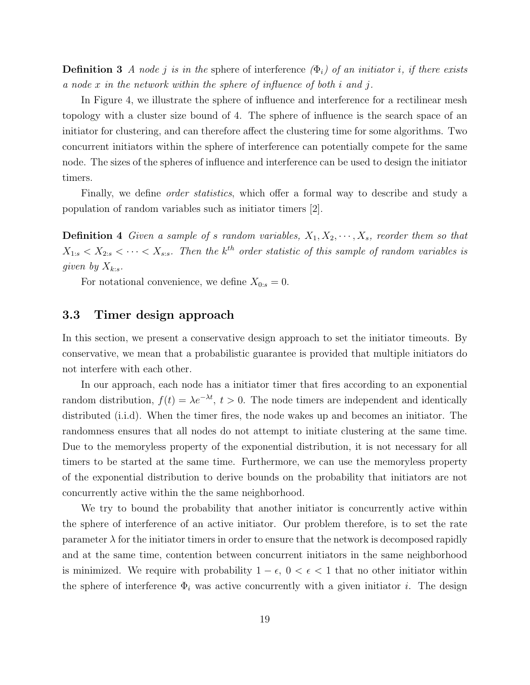**Definition 3** A node j is in the sphere of interference  $(\Phi_i)$  of an initiator i, if there exists a node  $x$  in the network within the sphere of influence of both  $i$  and  $j$ .

In Figure 4, we illustrate the sphere of influence and interference for a rectilinear mesh topology with a cluster size bound of 4. The sphere of influence is the search space of an initiator for clustering, and can therefore affect the clustering time for some algorithms. Two concurrent initiators within the sphere of interference can potentially compete for the same node. The sizes of the spheres of influence and interference can be used to design the initiator timers.

Finally, we define *order statistics*, which offer a formal way to describe and study a population of random variables such as initiator timers [2].

**Definition 4** Given a sample of s random variables,  $X_1, X_2, \dots, X_s$ , reorder them so that  $X_{1:s} < X_{2:s} < \cdots < X_{s:s}$ . Then the k<sup>th</sup> order statistic of this sample of random variables is given by  $X_{k:s}$ .

For notational convenience, we define  $X_{0:s} = 0$ .

### 3.3 Timer design approach

In this section, we present a conservative design approach to set the initiator timeouts. By conservative, we mean that a probabilistic guarantee is provided that multiple initiators do not interfere with each other.

In our approach, each node has a initiator timer that fires according to an exponential random distribution,  $f(t) = \lambda e^{-\lambda t}$ ,  $t > 0$ . The node timers are independent and identically distributed (i.i.d). When the timer fires, the node wakes up and becomes an initiator. The randomness ensures that all nodes do not attempt to initiate clustering at the same time. Due to the memoryless property of the exponential distribution, it is not necessary for all timers to be started at the same time. Furthermore, we can use the memoryless property of the exponential distribution to derive bounds on the probability that initiators are not concurrently active within the the same neighborhood.

We try to bound the probability that another initiator is concurrently active within the sphere of interference of an active initiator. Our problem therefore, is to set the rate parameter  $\lambda$  for the initiator timers in order to ensure that the network is decomposed rapidly and at the same time, contention between concurrent initiators in the same neighborhood is minimized. We require with probability  $1 - \epsilon$ ,  $0 < \epsilon < 1$  that no other initiator within the sphere of interference  $\Phi_i$  was active concurrently with a given initiator i. The design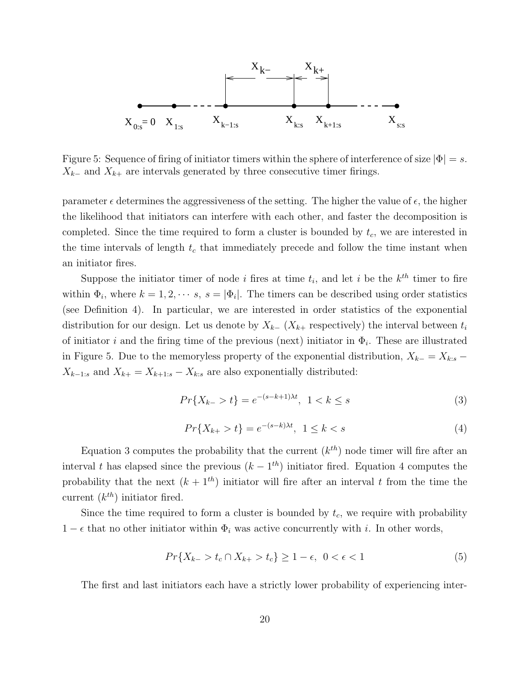

Figure 5: Sequence of firing of initiator timers within the sphere of interference of size  $|\Phi| = s$ .  $X_{k-}$  and  $X_{k+}$  are intervals generated by three consecutive timer firings.

parameter  $\epsilon$  determines the aggressiveness of the setting. The higher the value of  $\epsilon$ , the higher the likelihood that initiators can interfere with each other, and faster the decomposition is completed. Since the time required to form a cluster is bounded by  $t_c$ , we are interested in the time intervals of length  $t_c$  that immediately precede and follow the time instant when an initiator fires.

Suppose the initiator timer of node i fires at time  $t_i$ , and let i be the  $k^{th}$  timer to fire within  $\Phi_i$ , where  $k = 1, 2, \dots s$ ,  $s = |\Phi_i|$ . The timers can be described using order statistics (see Definition 4). In particular, we are interested in order statistics of the exponential distribution for our design. Let us denote by  $X_{k-}$  ( $X_{k+}$  respectively) the interval between  $t_i$ of initiator i and the firing time of the previous (next) initiator in  $\Phi_i$ . These are illustrated in Figure 5. Due to the memoryless property of the exponential distribution,  $X_{k-} = X_{k:s}$  –  $X_{k-1:s}$  and  $X_{k+} = X_{k+1:s} - X_{k:s}$  are also exponentially distributed:

$$
Pr{X_{k-} > t} = e^{-(s-k+1)\lambda t}, \ 1 < k \le s
$$
\n(3)

$$
Pr{X_{k+} > t} = e^{-(s-k)\lambda t}, \ 1 \le k < s \tag{4}
$$

Equation 3 computes the probability that the current  $(k<sup>th</sup>)$  node timer will fire after an interval t has elapsed since the previous  $(k - 1<sup>th</sup>)$  initiator fired. Equation 4 computes the probability that the next  $(k + 1<sup>th</sup>)$  initiator will fire after an interval t from the time the current  $(k^{th})$  initiator fired.

Since the time required to form a cluster is bounded by  $t_c$ , we require with probability  $1 - \epsilon$  that no other initiator within  $\Phi_i$  was active concurrently with i. In other words,

$$
Pr{X_{k-} > t_c \cap X_{k+} > t_c} \ge 1 - \epsilon, \ 0 < \epsilon < 1
$$
\n<sup>(5)</sup>

The first and last initiators each have a strictly lower probability of experiencing inter-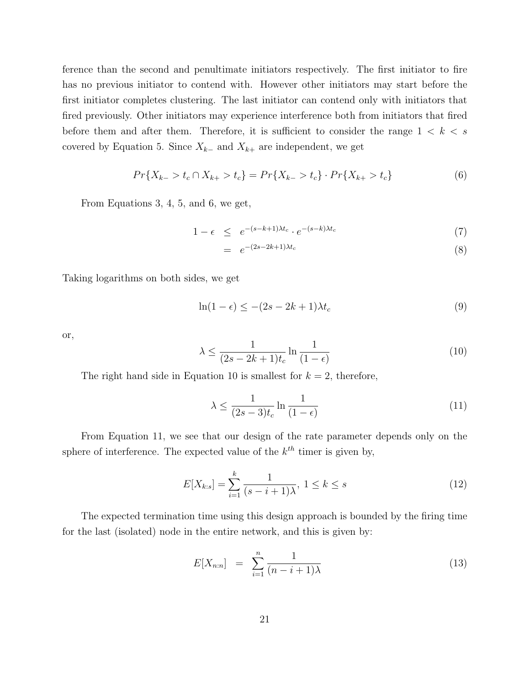ference than the second and penultimate initiators respectively. The first initiator to fire has no previous initiator to contend with. However other initiators may start before the first initiator completes clustering. The last initiator can contend only with initiators that fired previously. Other initiators may experience interference both from initiators that fired before them and after them. Therefore, it is sufficient to consider the range  $1 < k < s$ covered by Equation 5. Since  $X_{k-}$  and  $X_{k+}$  are independent, we get

$$
Pr{X_{k-} > t_c \cap X_{k+} > t_c} = Pr{X_{k-} > t_c} \cdot Pr{X_{k+} > t_c}
$$
\n
$$
(6)
$$

From Equations 3, 4, 5, and 6, we get,

$$
1 - \epsilon \leq e^{-(s-k+1)\lambda t_c} \cdot e^{-(s-k)\lambda t_c} \tag{7}
$$

$$
= e^{-(2s-2k+1)\lambda t_c} \tag{8}
$$

Taking logarithms on both sides, we get

$$
\ln(1 - \epsilon) \le -(2s - 2k + 1)\lambda t_c \tag{9}
$$

or,

$$
\lambda \le \frac{1}{(2s - 2k + 1)t_c} \ln \frac{1}{(1 - \epsilon)}\tag{10}
$$

The right hand side in Equation 10 is smallest for  $k = 2$ , therefore,

$$
\lambda \le \frac{1}{(2s-3)t_c} \ln \frac{1}{(1-\epsilon)}
$$
\n(11)

From Equation 11, we see that our design of the rate parameter depends only on the sphere of interference. The expected value of the  $k^{th}$  timer is given by,

$$
E[X_{k:s}] = \sum_{i=1}^{k} \frac{1}{(s-i+1)\lambda}, \ 1 \le k \le s
$$
 (12)

The expected termination time using this design approach is bounded by the firing time for the last (isolated) node in the entire network, and this is given by:

$$
E[X_{n:n}] = \sum_{i=1}^{n} \frac{1}{(n-i+1)\lambda} \tag{13}
$$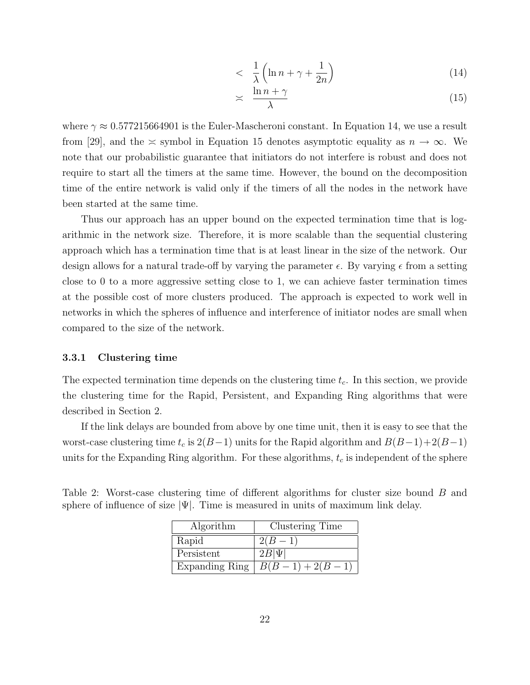$$
<\frac{1}{\lambda}\left(\ln n + \gamma + \frac{1}{2n}\right) \tag{14}
$$

$$
\asymp \frac{\ln n + \gamma}{\lambda} \tag{15}
$$

where  $\gamma \approx 0.577215664901$  is the Euler-Mascheroni constant. In Equation 14, we use a result from [29], and the  $\approx$  symbol in Equation 15 denotes asymptotic equality as  $n \to \infty$ . We note that our probabilistic guarantee that initiators do not interfere is robust and does not require to start all the timers at the same time. However, the bound on the decomposition time of the entire network is valid only if the timers of all the nodes in the network have been started at the same time.

Thus our approach has an upper bound on the expected termination time that is logarithmic in the network size. Therefore, it is more scalable than the sequential clustering approach which has a termination time that is at least linear in the size of the network. Our design allows for a natural trade-off by varying the parameter  $\epsilon$ . By varying  $\epsilon$  from a setting close to 0 to a more aggressive setting close to 1, we can achieve faster termination times at the possible cost of more clusters produced. The approach is expected to work well in networks in which the spheres of influence and interference of initiator nodes are small when compared to the size of the network.

### 3.3.1 Clustering time

The expected termination time depends on the clustering time  $t_c$ . In this section, we provide the clustering time for the Rapid, Persistent, and Expanding Ring algorithms that were described in Section 2.

If the link delays are bounded from above by one time unit, then it is easy to see that the worst-case clustering time  $t_c$  is  $2(B-1)$  units for the Rapid algorithm and  $B(B-1)+2(B-1)$ units for the Expanding Ring algorithm. For these algorithms,  $t_c$  is independent of the sphere

| Table 2: Worst-case clustering time of different algorithms for cluster size bound B and |  |  |  |  |  |
|------------------------------------------------------------------------------------------|--|--|--|--|--|
| sphere of influence of size $ \Psi $ . Time is measured in units of maximum link delay.  |  |  |  |  |  |

| Algorithm      | Clustering Time     |
|----------------|---------------------|
| Rapid          | $2(B-1)$            |
| Persistent     | $2B \Psi $          |
| Expanding Ring | $B(B-1) + 2(B - 1)$ |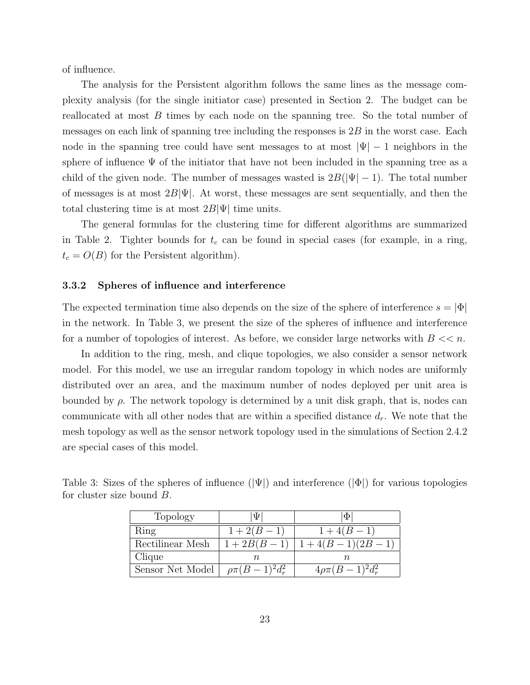of influence.

The analysis for the Persistent algorithm follows the same lines as the message complexity analysis (for the single initiator case) presented in Section 2. The budget can be reallocated at most B times by each node on the spanning tree. So the total number of messages on each link of spanning tree including the responses is  $2B$  in the worst case. Each node in the spanning tree could have sent messages to at most  $|\Psi| - 1$  neighbors in the sphere of influence  $\Psi$  of the initiator that have not been included in the spanning tree as a child of the given node. The number of messages wasted is  $2B(|\Psi|-1)$ . The total number of messages is at most  $2B|\Psi|$ . At worst, these messages are sent sequentially, and then the total clustering time is at most  $2B|\Psi|$  time units.

The general formulas for the clustering time for different algorithms are summarized in Table 2. Tighter bounds for  $t_c$  can be found in special cases (for example, in a ring,  $t_c = O(B)$  for the Persistent algorithm).

### 3.3.2 Spheres of influence and interference

The expected termination time also depends on the size of the sphere of interference  $s = |\Phi|$ in the network. In Table 3, we present the size of the spheres of influence and interference for a number of topologies of interest. As before, we consider large networks with  $B \ll n$ .

In addition to the ring, mesh, and clique topologies, we also consider a sensor network model. For this model, we use an irregular random topology in which nodes are uniformly distributed over an area, and the maximum number of nodes deployed per unit area is bounded by  $\rho$ . The network topology is determined by a unit disk graph, that is, nodes can communicate with all other nodes that are within a specified distance  $d_r$ . We note that the mesh topology as well as the sensor network topology used in the simulations of Section 2.4.2 are special cases of this model.

Table 3: Sizes of the spheres of influence  $(|\Psi|)$  and interference  $(|\Phi|)$  for various topologies for cluster size bound B.

| Topology         | $ \Psi $                 | $\Phi$                 |
|------------------|--------------------------|------------------------|
| Ring             | $1 + 2(B - 1)$           | $1+4(B-1)$             |
| Rectilinear Mesh | $1 + 2B(B - 1)$          | $1+4(B-1)(2B-1)$       |
| Clique           |                          |                        |
| Sensor Net Model | $\rho \pi (B-1)^2 d_r^2$ | $4\rho\pi(B-1)^2d_r^2$ |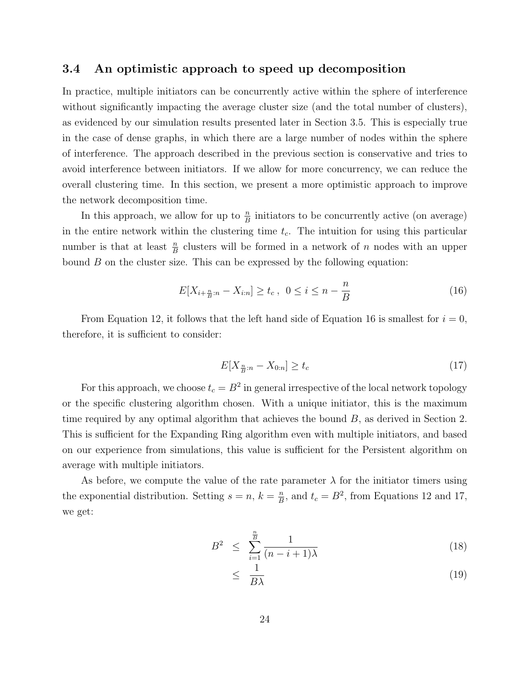### 3.4 An optimistic approach to speed up decomposition

In practice, multiple initiators can be concurrently active within the sphere of interference without significantly impacting the average cluster size (and the total number of clusters), as evidenced by our simulation results presented later in Section 3.5. This is especially true in the case of dense graphs, in which there are a large number of nodes within the sphere of interference. The approach described in the previous section is conservative and tries to avoid interference between initiators. If we allow for more concurrency, we can reduce the overall clustering time. In this section, we present a more optimistic approach to improve the network decomposition time.

In this approach, we allow for up to  $\frac{n}{B}$  initiators to be concurrently active (on average) in the entire network within the clustering time  $t_c$ . The intuition for using this particular number is that at least  $\frac{n}{B}$  clusters will be formed in a network of n nodes with an upper bound  $B$  on the cluster size. This can be expressed by the following equation:

$$
E[X_{i+\frac{n}{B}:n} - X_{i:n}] \ge t_c, \ \ 0 \le i \le n - \frac{n}{B}
$$
 (16)

From Equation 12, it follows that the left hand side of Equation 16 is smallest for  $i = 0$ , therefore, it is sufficient to consider:

$$
E[X_{\frac{n}{B}:n} - X_{0:n}] \ge t_c \tag{17}
$$

For this approach, we choose  $t_c = B^2$  in general irrespective of the local network topology or the specific clustering algorithm chosen. With a unique initiator, this is the maximum time required by any optimal algorithm that achieves the bound B, as derived in Section 2. This is sufficient for the Expanding Ring algorithm even with multiple initiators, and based on our experience from simulations, this value is sufficient for the Persistent algorithm on average with multiple initiators.

As before, we compute the value of the rate parameter  $\lambda$  for the initiator timers using the exponential distribution. Setting  $s = n, k = \frac{n}{R}$  $\frac{n}{B}$ , and  $t_c = B^2$ , from Equations 12 and 17, we get:

$$
B^{2} \leq \sum_{i=1}^{\frac{n}{2}} \frac{1}{(n-i+1)\lambda} \tag{18}
$$

$$
\leq \frac{1}{B\lambda} \tag{19}
$$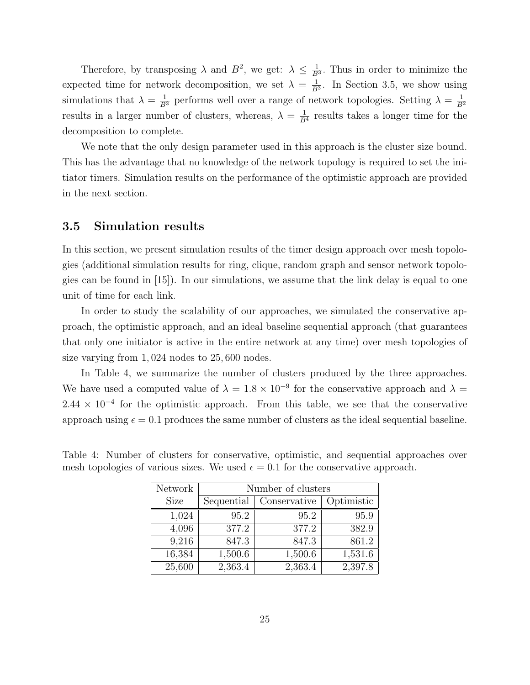Therefore, by transposing  $\lambda$  and  $B^2$ , we get:  $\lambda \leq \frac{1}{B^2}$  $\frac{1}{B^3}$ . Thus in order to minimize the expected time for network decomposition, we set  $\lambda = \frac{1}{R}$  $\frac{1}{B^3}$ . In Section 3.5, we show using simulations that  $\lambda = \frac{1}{B^3}$  performs well over a range of network topologies. Setting  $\lambda = \frac{1}{B}$  $\overline{B^2}$ results in a larger number of clusters, whereas,  $\lambda = \frac{1}{B^4}$  results takes a longer time for the decomposition to complete.

We note that the only design parameter used in this approach is the cluster size bound. This has the advantage that no knowledge of the network topology is required to set the initiator timers. Simulation results on the performance of the optimistic approach are provided in the next section.

### 3.5 Simulation results

In this section, we present simulation results of the timer design approach over mesh topologies (additional simulation results for ring, clique, random graph and sensor network topologies can be found in [15]). In our simulations, we assume that the link delay is equal to one unit of time for each link.

In order to study the scalability of our approaches, we simulated the conservative approach, the optimistic approach, and an ideal baseline sequential approach (that guarantees that only one initiator is active in the entire network at any time) over mesh topologies of size varying from 1, 024 nodes to 25, 600 nodes.

In Table 4, we summarize the number of clusters produced by the three approaches. We have used a computed value of  $\lambda = 1.8 \times 10^{-9}$  for the conservative approach and  $\lambda =$  $2.44 \times 10^{-4}$  for the optimistic approach. From this table, we see that the conservative approach using  $\epsilon = 0.1$  produces the same number of clusters as the ideal sequential baseline.

| Network     | Number of clusters |              |                      |  |  |
|-------------|--------------------|--------------|----------------------|--|--|
| <b>Size</b> | Sequential         | Conservative | Optimistic           |  |  |
| 1,024       | 95.2               | 95.2         | 95.9                 |  |  |
| 4,096       | 377.2              | 377.2        | 382.9                |  |  |
| 9,216       | 847.3              | 847.3        | 861.2                |  |  |
| 16,384      | 1,500.6            | 1,500.6      | 1,531.6              |  |  |
| 25,600      | 2,363.4            | 2,363.4      | $2,\overline{397.8}$ |  |  |

Table 4: Number of clusters for conservative, optimistic, and sequential approaches over mesh topologies of various sizes. We used  $\epsilon = 0.1$  for the conservative approach.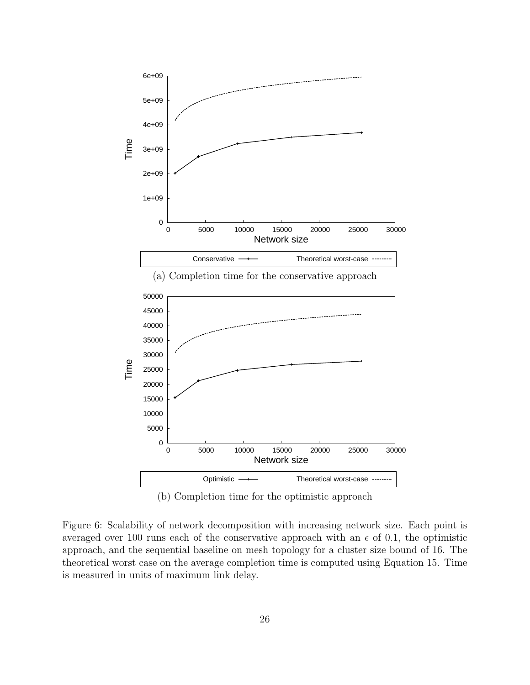

Figure 6: Scalability of network decomposition with increasing network size. Each point is averaged over 100 runs each of the conservative approach with an  $\epsilon$  of 0.1, the optimistic approach, and the sequential baseline on mesh topology for a cluster size bound of 16. The theoretical worst case on the average completion time is computed using Equation 15. Time is measured in units of maximum link delay.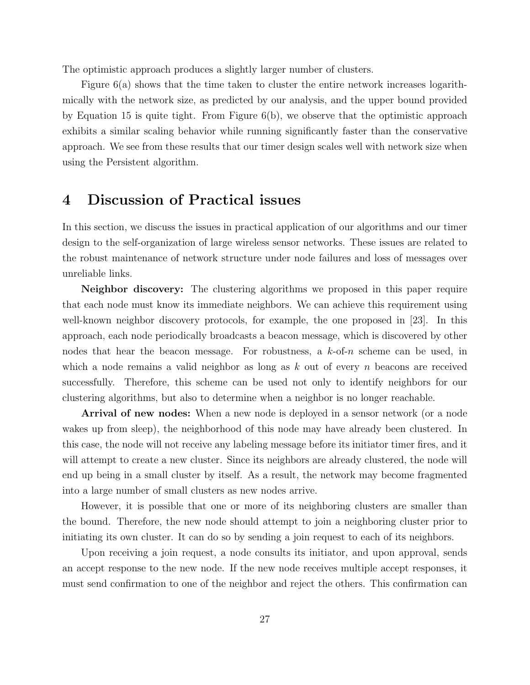The optimistic approach produces a slightly larger number of clusters.

Figure 6(a) shows that the time taken to cluster the entire network increases logarithmically with the network size, as predicted by our analysis, and the upper bound provided by Equation 15 is quite tight. From Figure 6(b), we observe that the optimistic approach exhibits a similar scaling behavior while running significantly faster than the conservative approach. We see from these results that our timer design scales well with network size when using the Persistent algorithm.

## 4 Discussion of Practical issues

In this section, we discuss the issues in practical application of our algorithms and our timer design to the self-organization of large wireless sensor networks. These issues are related to the robust maintenance of network structure under node failures and loss of messages over unreliable links.

Neighbor discovery: The clustering algorithms we proposed in this paper require that each node must know its immediate neighbors. We can achieve this requirement using well-known neighbor discovery protocols, for example, the one proposed in [23]. In this approach, each node periodically broadcasts a beacon message, which is discovered by other nodes that hear the beacon message. For robustness, a  $k$ -of- $n$  scheme can be used, in which a node remains a valid neighbor as long as  $k$  out of every  $n$  beacons are received successfully. Therefore, this scheme can be used not only to identify neighbors for our clustering algorithms, but also to determine when a neighbor is no longer reachable.

Arrival of new nodes: When a new node is deployed in a sensor network (or a node wakes up from sleep), the neighborhood of this node may have already been clustered. In this case, the node will not receive any labeling message before its initiator timer fires, and it will attempt to create a new cluster. Since its neighbors are already clustered, the node will end up being in a small cluster by itself. As a result, the network may become fragmented into a large number of small clusters as new nodes arrive.

However, it is possible that one or more of its neighboring clusters are smaller than the bound. Therefore, the new node should attempt to join a neighboring cluster prior to initiating its own cluster. It can do so by sending a join request to each of its neighbors.

Upon receiving a join request, a node consults its initiator, and upon approval, sends an accept response to the new node. If the new node receives multiple accept responses, it must send confirmation to one of the neighbor and reject the others. This confirmation can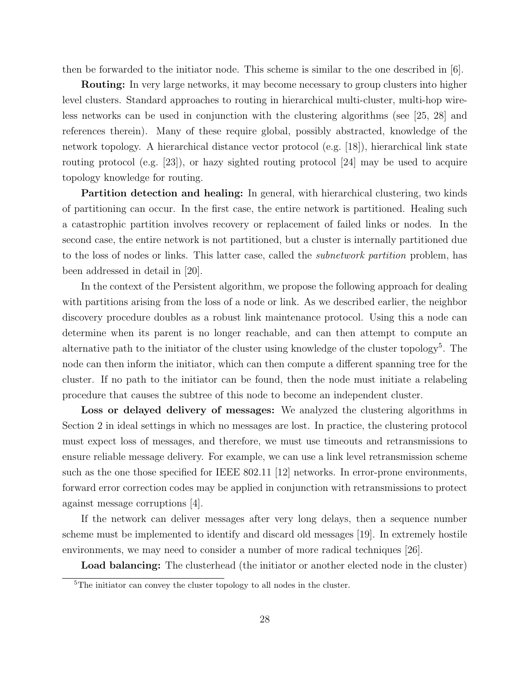then be forwarded to the initiator node. This scheme is similar to the one described in  $|6|$ .

Routing: In very large networks, it may become necessary to group clusters into higher level clusters. Standard approaches to routing in hierarchical multi-cluster, multi-hop wireless networks can be used in conjunction with the clustering algorithms (see [25, 28] and references therein). Many of these require global, possibly abstracted, knowledge of the network topology. A hierarchical distance vector protocol (e.g. [18]), hierarchical link state routing protocol (e.g. [23]), or hazy sighted routing protocol [24] may be used to acquire topology knowledge for routing.

Partition detection and healing: In general, with hierarchical clustering, two kinds of partitioning can occur. In the first case, the entire network is partitioned. Healing such a catastrophic partition involves recovery or replacement of failed links or nodes. In the second case, the entire network is not partitioned, but a cluster is internally partitioned due to the loss of nodes or links. This latter case, called the subnetwork partition problem, has been addressed in detail in [20].

In the context of the Persistent algorithm, we propose the following approach for dealing with partitions arising from the loss of a node or link. As we described earlier, the neighbor discovery procedure doubles as a robust link maintenance protocol. Using this a node can determine when its parent is no longer reachable, and can then attempt to compute an alternative path to the initiator of the cluster using knowledge of the cluster topology<sup>5</sup>. The node can then inform the initiator, which can then compute a different spanning tree for the cluster. If no path to the initiator can be found, then the node must initiate a relabeling procedure that causes the subtree of this node to become an independent cluster.

Loss or delayed delivery of messages: We analyzed the clustering algorithms in Section 2 in ideal settings in which no messages are lost. In practice, the clustering protocol must expect loss of messages, and therefore, we must use timeouts and retransmissions to ensure reliable message delivery. For example, we can use a link level retransmission scheme such as the one those specified for IEEE 802.11 [12] networks. In error-prone environments, forward error correction codes may be applied in conjunction with retransmissions to protect against message corruptions [4].

If the network can deliver messages after very long delays, then a sequence number scheme must be implemented to identify and discard old messages [19]. In extremely hostile environments, we may need to consider a number of more radical techniques [26].

Load balancing: The clusterhead (the initiator or another elected node in the cluster)

<sup>&</sup>lt;sup>5</sup>The initiator can convey the cluster topology to all nodes in the cluster.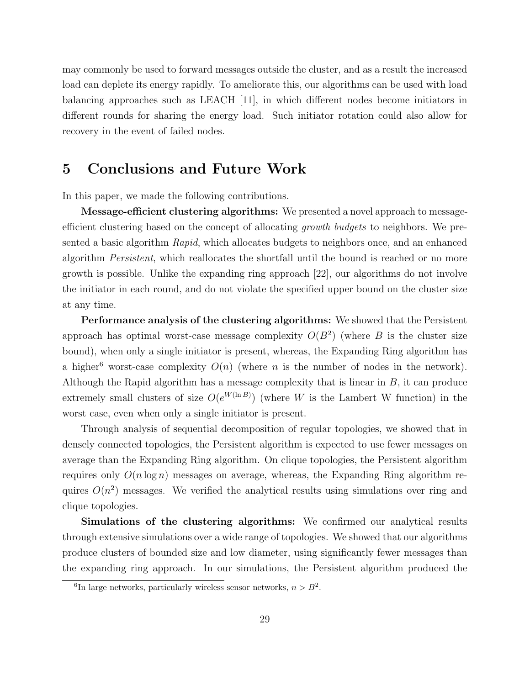may commonly be used to forward messages outside the cluster, and as a result the increased load can deplete its energy rapidly. To ameliorate this, our algorithms can be used with load balancing approaches such as LEACH [11], in which different nodes become initiators in different rounds for sharing the energy load. Such initiator rotation could also allow for recovery in the event of failed nodes.

## 5 Conclusions and Future Work

In this paper, we made the following contributions.

Message-efficient clustering algorithms: We presented a novel approach to messageefficient clustering based on the concept of allocating growth budgets to neighbors. We presented a basic algorithm Rapid, which allocates budgets to neighbors once, and an enhanced algorithm Persistent, which reallocates the shortfall until the bound is reached or no more growth is possible. Unlike the expanding ring approach [22], our algorithms do not involve the initiator in each round, and do not violate the specified upper bound on the cluster size at any time.

Performance analysis of the clustering algorithms: We showed that the Persistent approach has optimal worst-case message complexity  $O(B^2)$  (where B is the cluster size bound), when only a single initiator is present, whereas, the Expanding Ring algorithm has a higher<sup>6</sup> worst-case complexity  $O(n)$  (where n is the number of nodes in the network). Although the Rapid algorithm has a message complexity that is linear in B, it can produce extremely small clusters of size  $O(e^{W(\ln B)})$  (where W is the Lambert W function) in the worst case, even when only a single initiator is present.

Through analysis of sequential decomposition of regular topologies, we showed that in densely connected topologies, the Persistent algorithm is expected to use fewer messages on average than the Expanding Ring algorithm. On clique topologies, the Persistent algorithm requires only  $O(n \log n)$  messages on average, whereas, the Expanding Ring algorithm requires  $O(n^2)$  messages. We verified the analytical results using simulations over ring and clique topologies.

Simulations of the clustering algorithms: We confirmed our analytical results through extensive simulations over a wide range of topologies. We showed that our algorithms produce clusters of bounded size and low diameter, using significantly fewer messages than the expanding ring approach. In our simulations, the Persistent algorithm produced the

<sup>&</sup>lt;sup>6</sup>In large networks, particularly wireless sensor networks,  $n > B^2$ .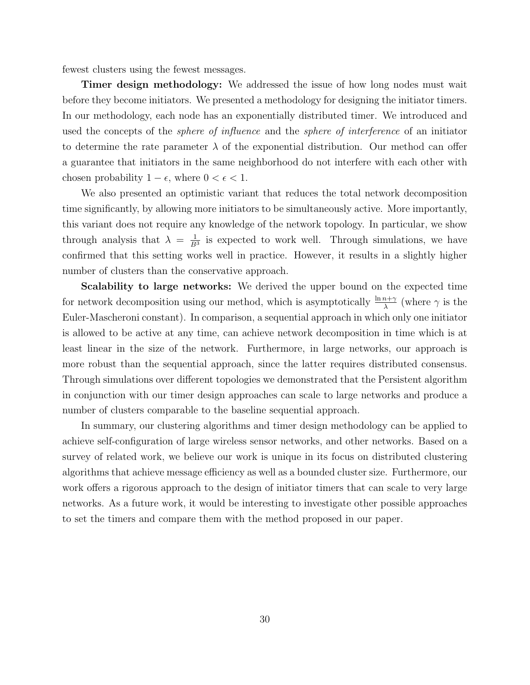fewest clusters using the fewest messages.

Timer design methodology: We addressed the issue of how long nodes must wait before they become initiators. We presented a methodology for designing the initiator timers. In our methodology, each node has an exponentially distributed timer. We introduced and used the concepts of the sphere of influence and the sphere of interference of an initiator to determine the rate parameter  $\lambda$  of the exponential distribution. Our method can offer a guarantee that initiators in the same neighborhood do not interfere with each other with chosen probability  $1 - \epsilon$ , where  $0 < \epsilon < 1$ .

We also presented an optimistic variant that reduces the total network decomposition time significantly, by allowing more initiators to be simultaneously active. More importantly, this variant does not require any knowledge of the network topology. In particular, we show through analysis that  $\lambda = \frac{1}{R}$  $\frac{1}{B^3}$  is expected to work well. Through simulations, we have confirmed that this setting works well in practice. However, it results in a slightly higher number of clusters than the conservative approach.

Scalability to large networks: We derived the upper bound on the expected time for network decomposition using our method, which is asymptotically  $\frac{\ln n+\gamma}{\lambda}$  (where  $\gamma$  is the Euler-Mascheroni constant). In comparison, a sequential approach in which only one initiator is allowed to be active at any time, can achieve network decomposition in time which is at least linear in the size of the network. Furthermore, in large networks, our approach is more robust than the sequential approach, since the latter requires distributed consensus. Through simulations over different topologies we demonstrated that the Persistent algorithm in conjunction with our timer design approaches can scale to large networks and produce a number of clusters comparable to the baseline sequential approach.

In summary, our clustering algorithms and timer design methodology can be applied to achieve self-configuration of large wireless sensor networks, and other networks. Based on a survey of related work, we believe our work is unique in its focus on distributed clustering algorithms that achieve message efficiency as well as a bounded cluster size. Furthermore, our work offers a rigorous approach to the design of initiator timers that can scale to very large networks. As a future work, it would be interesting to investigate other possible approaches to set the timers and compare them with the method proposed in our paper.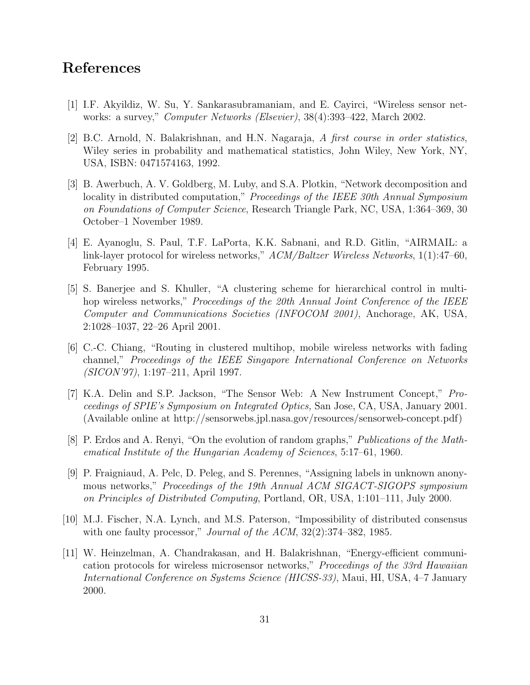## References

- [1] I.F. Akyildiz, W. Su, Y. Sankarasubramaniam, and E. Cayirci, "Wireless sensor networks: a survey," Computer Networks (Elsevier), 38(4):393–422, March 2002.
- [2] B.C. Arnold, N. Balakrishnan, and H.N. Nagaraja, A first course in order statistics, Wiley series in probability and mathematical statistics, John Wiley, New York, NY, USA, ISBN: 0471574163, 1992.
- [3] B. Awerbuch, A. V. Goldberg, M. Luby, and S.A. Plotkin, "Network decomposition and locality in distributed computation," Proceedings of the IEEE 30th Annual Symposium on Foundations of Computer Science, Research Triangle Park, NC, USA, 1:364–369, 30 October–1 November 1989.
- [4] E. Ayanoglu, S. Paul, T.F. LaPorta, K.K. Sabnani, and R.D. Gitlin, "AIRMAIL: a link-layer protocol for wireless networks,"  $ACM/Baltzer$  Wireless Networks, 1(1):47–60, February 1995.
- [5] S. Banerjee and S. Khuller, "A clustering scheme for hierarchical control in multihop wireless networks," Proceedings of the 20th Annual Joint Conference of the IEEE Computer and Communications Societies (INFOCOM 2001), Anchorage, AK, USA, 2:1028–1037, 22–26 April 2001.
- [6] C.-C. Chiang, "Routing in clustered multihop, mobile wireless networks with fading channel," Proceedings of the IEEE Singapore International Conference on Networks (SICON'97), 1:197–211, April 1997.
- [7] K.A. Delin and S.P. Jackson, "The Sensor Web: A New Instrument Concept," Proceedings of SPIE's Symposium on Integrated Optics, San Jose, CA, USA, January 2001. (Available online at http://sensorwebs.jpl.nasa.gov/resources/sensorweb-concept.pdf)
- [8] P. Erdos and A. Renyi, "On the evolution of random graphs," Publications of the Mathematical Institute of the Hungarian Academy of Sciences, 5:17–61, 1960.
- [9] P. Fraigniaud, A. Pelc, D. Peleg, and S. Perennes, "Assigning labels in unknown anonymous networks," Proceedings of the 19th Annual ACM SIGACT-SIGOPS symposium on Principles of Distributed Computing, Portland, OR, USA, 1:101–111, July 2000.
- [10] M.J. Fischer, N.A. Lynch, and M.S. Paterson, "Impossibility of distributed consensus with one faulty processor," *Journal of the ACM*,  $32(2):374-382$ , 1985.
- [11] W. Heinzelman, A. Chandrakasan, and H. Balakrishnan, "Energy-efficient communication protocols for wireless microsensor networks," Proceedings of the 33rd Hawaiian International Conference on Systems Science (HICSS-33), Maui, HI, USA, 4–7 January 2000.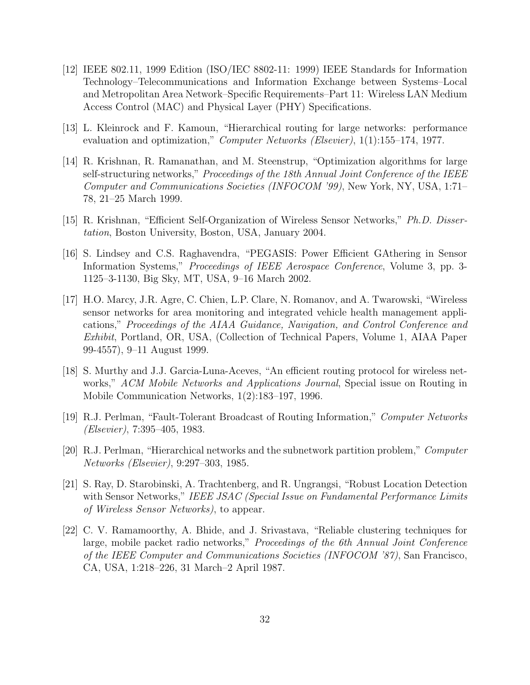- [12] IEEE 802.11, 1999 Edition (ISO/IEC 8802-11: 1999) IEEE Standards for Information Technology–Telecommunications and Information Exchange between Systems–Local and Metropolitan Area Network–Specific Requirements–Part 11: Wireless LAN Medium Access Control (MAC) and Physical Layer (PHY) Specifications.
- [13] L. Kleinrock and F. Kamoun, "Hierarchical routing for large networks: performance evaluation and optimization," Computer Networks (Elsevier), 1(1):155-174, 1977.
- [14] R. Krishnan, R. Ramanathan, and M. Steenstrup, "Optimization algorithms for large self-structuring networks," Proceedings of the 18th Annual Joint Conference of the IEEE Computer and Communications Societies (INFOCOM '99), New York, NY, USA, 1:71– 78, 21–25 March 1999.
- [15] R. Krishnan, "Efficient Self-Organization of Wireless Sensor Networks," Ph.D. Dissertation, Boston University, Boston, USA, January 2004.
- [16] S. Lindsey and C.S. Raghavendra, "PEGASIS: Power Efficient GAthering in Sensor Information Systems," Proceedings of IEEE Aerospace Conference, Volume 3, pp. 3- 1125–3-1130, Big Sky, MT, USA, 9–16 March 2002.
- [17] H.O. Marcy, J.R. Agre, C. Chien, L.P. Clare, N. Romanov, and A. Twarowski, "Wireless sensor networks for area monitoring and integrated vehicle health management applications," Proceedings of the AIAA Guidance, Navigation, and Control Conference and Exhibit, Portland, OR, USA, (Collection of Technical Papers, Volume 1, AIAA Paper 99-4557), 9–11 August 1999.
- [18] S. Murthy and J.J. Garcia-Luna-Aceves, "An efficient routing protocol for wireless networks," ACM Mobile Networks and Applications Journal, Special issue on Routing in Mobile Communication Networks, 1(2):183–197, 1996.
- [19] R.J. Perlman, "Fault-Tolerant Broadcast of Routing Information," Computer Networks (Elsevier), 7:395–405, 1983.
- [20] R.J. Perlman, "Hierarchical networks and the subnetwork partition problem," Computer Networks (Elsevier), 9:297–303, 1985.
- [21] S. Ray, D. Starobinski, A. Trachtenberg, and R. Ungrangsi, "Robust Location Detection with Sensor Networks," IEEE JSAC (Special Issue on Fundamental Performance Limits of Wireless Sensor Networks), to appear.
- [22] C. V. Ramamoorthy, A. Bhide, and J. Srivastava, "Reliable clustering techniques for large, mobile packet radio networks," Proceedings of the 6th Annual Joint Conference of the IEEE Computer and Communications Societies (INFOCOM '87), San Francisco, CA, USA, 1:218–226, 31 March–2 April 1987.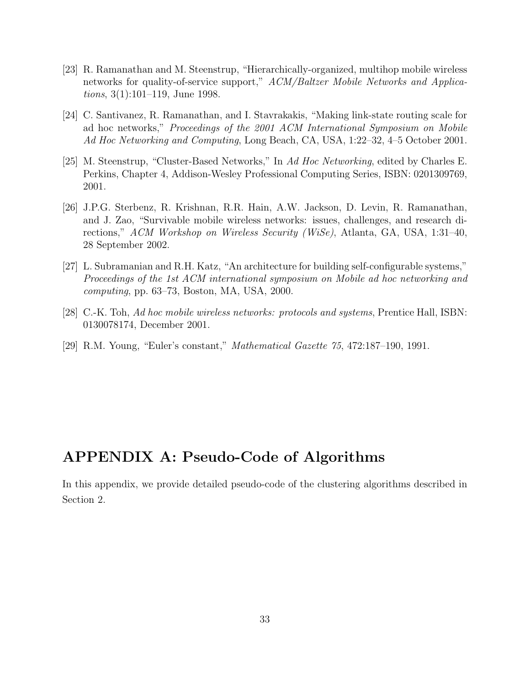- [23] R. Ramanathan and M. Steenstrup, "Hierarchically-organized, multihop mobile wireless networks for quality-of-service support," ACM/Baltzer Mobile Networks and Applications, 3(1):101–119, June 1998.
- [24] C. Santivanez, R. Ramanathan, and I. Stavrakakis, "Making link-state routing scale for ad hoc networks," Proceedings of the 2001 ACM International Symposium on Mobile Ad Hoc Networking and Computing, Long Beach, CA, USA, 1:22–32, 4–5 October 2001.
- [25] M. Steenstrup, "Cluster-Based Networks," In Ad Hoc Networking, edited by Charles E. Perkins, Chapter 4, Addison-Wesley Professional Computing Series, ISBN: 0201309769, 2001.
- [26] J.P.G. Sterbenz, R. Krishnan, R.R. Hain, A.W. Jackson, D. Levin, R. Ramanathan, and J. Zao, "Survivable mobile wireless networks: issues, challenges, and research directions," ACM Workshop on Wireless Security (WiSe), Atlanta, GA, USA, 1:31–40, 28 September 2002.
- [27] L. Subramanian and R.H. Katz, "An architecture for building self-configurable systems," Proceedings of the 1st ACM international symposium on Mobile ad hoc networking and computing, pp. 63–73, Boston, MA, USA, 2000.
- [28] C.-K. Toh, Ad hoc mobile wireless networks: protocols and systems, Prentice Hall, ISBN: 0130078174, December 2001.
- [29] R.M. Young, "Euler's constant," Mathematical Gazette 75, 472:187–190, 1991.

## APPENDIX A: Pseudo-Code of Algorithms

In this appendix, we provide detailed pseudo-code of the clustering algorithms described in Section 2.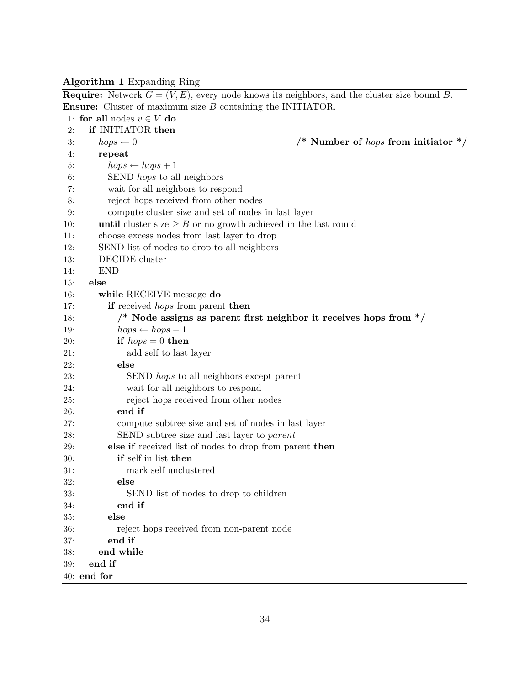Algorithm 1 Expanding Ring

**Require:** Network  $G = (V, E)$ , every node knows its neighbors, and the cluster size bound B. Ensure: Cluster of maximum size B containing the INITIATOR.

|     | <b>Expansive Constant of the American State D</b> containing the EVITER OTC. |
|-----|------------------------------------------------------------------------------|
|     | 1: for all nodes $v \in V$ do                                                |
| 2:  | if INITIATOR then                                                            |
| 3:  | /* Number of <i>hops</i> from initiator $*/$<br>$hops \leftarrow 0$          |
| 4:  | repeat                                                                       |
| 5:  | $hops \leftarrow hops + 1$                                                   |
| 6:  | SEND hops to all neighbors                                                   |
| 7:  | wait for all neighbors to respond                                            |
| 8:  | reject hops received from other nodes                                        |
| 9:  | compute cluster size and set of nodes in last layer                          |
| 10: | <b>until</b> cluster size $\geq B$ or no growth achieved in the last round   |
| 11: | choose excess nodes from last layer to drop                                  |
| 12: | SEND list of nodes to drop to all neighbors                                  |
| 13: | DECIDE cluster                                                               |
| 14: | <b>END</b>                                                                   |
| 15: | else                                                                         |
| 16: | while RECEIVE message do                                                     |
| 17: | if received <i>hops</i> from parent then                                     |
| 18: | /* Node assigns as parent first neighbor it receives hops from $*/$          |
| 19: | $hops \leftarrow hops - 1$                                                   |
| 20: | if $hops = 0$ then                                                           |
| 21: | add self to last layer                                                       |
| 22: | else                                                                         |
| 23: | SEND <i>hops</i> to all neighbors except parent                              |
| 24: | wait for all neighbors to respond                                            |
| 25: | reject hops received from other nodes                                        |
| 26: | end if                                                                       |
| 27: | compute subtree size and set of nodes in last layer                          |
| 28: | SEND subtree size and last layer to <i>parent</i>                            |
| 29: | else if received list of nodes to drop from parent then                      |
| 30: | if self in list then                                                         |
| 31: | mark self unclustered                                                        |
| 32: | else                                                                         |
| 33: | SEND list of nodes to drop to children                                       |
| 34: | end if                                                                       |
| 35: | else                                                                         |
| 36: | reject hops received from non-parent node                                    |
| 37: | end if                                                                       |
| 38: | end while                                                                    |
| 39: | end if                                                                       |
|     | 40: end for                                                                  |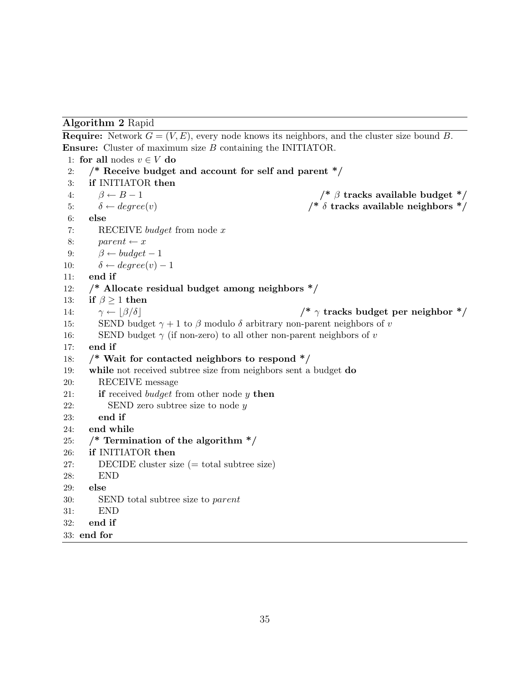### Algorithm 2 Rapid

**Require:** Network  $G = (V, E)$ , every node knows its neighbors, and the cluster size bound B. Ensure: Cluster of maximum size B containing the INITIATOR.

1: for all nodes  $v \in V$  do 2:  $\frac{4}{3}$  Receive budget and account for self and parent  $\frac{4}{3}$ 3: if INITIATOR then 4:  $\beta \leftarrow B - 1$  /\* β tracks available budget \*/ 5:  $\delta \leftarrow degree(v)$  /\* δ tracks available neighbors \*/ 6: else 7: RECEIVE budget from node x 8:  $parent \leftarrow x$ 9:  $\beta \leftarrow budget-1$ 10:  $\delta \leftarrow degree(v) - 1$ 11: end if 12: /\* Allocate residual budget among neighbors \*/ 13: if  $\beta \geq 1$  then 14:  $\gamma \leftarrow |\beta/\delta|$  /\* γ tracks budget per neighbor \*/ 15: SEND budget  $\gamma + 1$  to  $\beta$  modulo  $\delta$  arbitrary non-parent neighbors of v 16: SEND budget  $\gamma$  (if non-zero) to all other non-parent neighbors of v 17: end if 18:  $\frac{18}{5}$  /\* Wait for contacted neighbors to respond \*/ 19: while not received subtree size from neighbors sent a budget do 20: RECEIVE message 21: **if** received *budget* from other node  $y$  **then** 22: SEND zero subtree size to node  $y$ 23: end if 24: end while 25:  $\frac{\text{# Termination of the algorithm *}}{\text{# Permination of the algorithm *}}$ 26: if INITIATOR then 27: DECIDE cluster size  $(= total$  subtree size) 28: END 29: else 30: SEND total subtree size to parent 31: END 32: end if 33: end for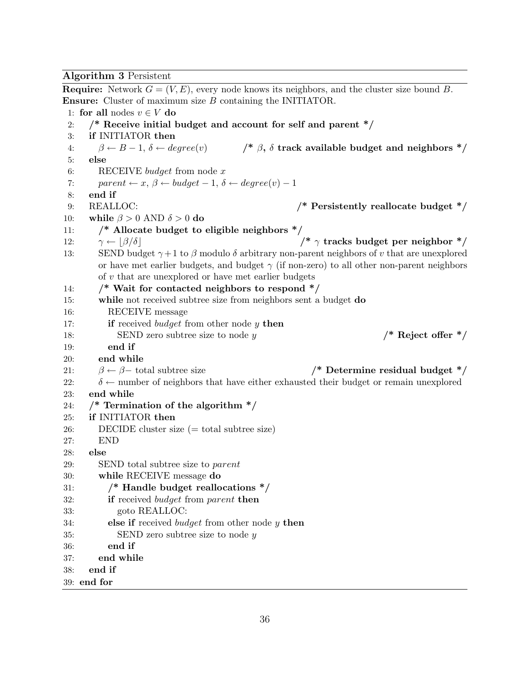### Algorithm 3 Persistent

**Require:** Network  $G = (V, E)$ , every node knows its neighbors, and the cluster size bound B. Ensure: Cluster of maximum size B containing the INITIATOR. 1: for all nodes  $v \in V$  do 2:  $\frac{4}{3}$  Receive initial budget and account for self and parent  $\frac{4}{3}$ 3: if INITIATOR then 4:  $\beta \leftarrow B - 1, \delta \leftarrow degree(v)$  /\*  $\beta, \delta$  track available budget and neighbors \*/ 5: else 6: RECEIVE *budget* from node  $x$ 7: parent  $\leftarrow x, \beta \leftarrow budget-1, \delta \leftarrow degree(v)-1$ 8: end if 9: REALLOC: /\* Persistently reallocate budget \*/ 10: while  $\beta > 0$  AND  $\delta > 0$  do 11:  $\frac{1}{2}$  /\* Allocate budget to eligible neighbors \*/ 12:  $\gamma \leftarrow |\beta/\delta|$  /\* γ tracks budget per neighbor \*/ 13: SEND budget  $\gamma + 1$  to  $\beta$  modulo  $\delta$  arbitrary non-parent neighbors of v that are unexplored or have met earlier budgets, and budget  $\gamma$  (if non-zero) to all other non-parent neighbors of v that are unexplored or have met earlier budgets 14: /\* Wait for contacted neighbors to respond \*/ 15: while not received subtree size from neighbors sent a budget do 16: RECEIVE message 17: **if** received *budget* from other node y **then** 18: SEND zero subtree size to node y  $/$  Reject offer  $*/$ 19: end if 20: end while 21:  $\beta \leftarrow \beta$  – total subtree size /\* Determine residual budget \*/ 22:  $\delta \leftarrow$  number of neighbors that have either exhausted their budget or remain unexplored 23: end while 24:  $\frac{\pi}{24}$  Termination of the algorithm \*/ 25: if INITIATOR then 26: DECIDE cluster size  $(= total$  subtree size) 27: END 28: else 29: SEND total subtree size to parent 30: while RECEIVE message do 31: /\* Handle budget reallocations \*/ 32: **if** received *budget* from *parent* **then** 33: goto REALLOC: 34: else if received *budget* from other node  $y$  then 35: SEND zero subtree size to node  $y$ 36: end if 37: end while 38: end if 39: end for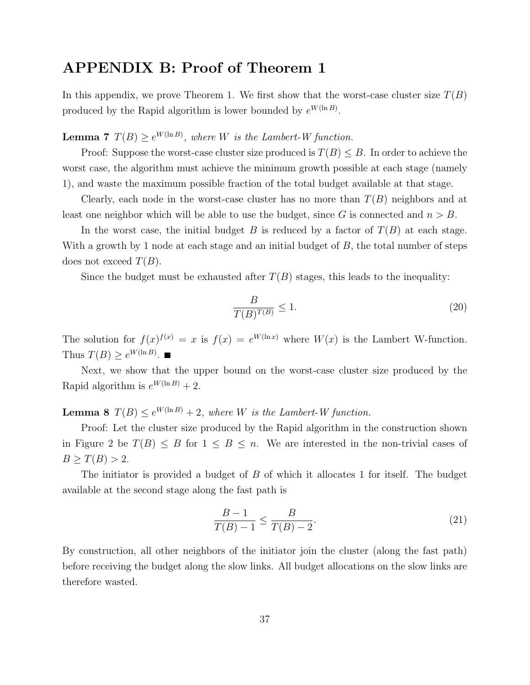## APPENDIX B: Proof of Theorem 1

In this appendix, we prove Theorem 1. We first show that the worst-case cluster size  $T(B)$ produced by the Rapid algorithm is lower bounded by  $e^{W(\ln B)}$ .

**Lemma 7**  $T(B) \geq e^{W(\ln B)}$ , where W is the Lambert-W function.

Proof: Suppose the worst-case cluster size produced is  $T(B) \leq B$ . In order to achieve the worst case, the algorithm must achieve the minimum growth possible at each stage (namely 1), and waste the maximum possible fraction of the total budget available at that stage.

Clearly, each node in the worst-case cluster has no more than  $T(B)$  neighbors and at least one neighbor which will be able to use the budget, since G is connected and  $n > B$ .

In the worst case, the initial budget B is reduced by a factor of  $T(B)$  at each stage. With a growth by 1 node at each stage and an initial budget of  $B$ , the total number of steps does not exceed  $T(B)$ .

Since the budget must be exhausted after  $T(B)$  stages, this leads to the inequality:

$$
\frac{B}{T(B)^{T(B)}} \le 1.
$$
\n(20)

The solution for  $f(x)^{f(x)} = x$  is  $f(x) = e^{W(\ln x)}$  where  $W(x)$  is the Lambert W-function. Thus  $T(B) \geq e^{W(\ln B)}$ .

Next, we show that the upper bound on the worst-case cluster size produced by the Rapid algorithm is  $e^{W(\ln B)} + 2$ .

**Lemma 8**  $T(B) \leq e^{W(\ln B)} + 2$ , where W is the Lambert-W function.

Proof: Let the cluster size produced by the Rapid algorithm in the construction shown in Figure 2 be  $T(B) \leq B$  for  $1 \leq B \leq n$ . We are interested in the non-trivial cases of  $B \geq T(B) > 2.$ 

The initiator is provided a budget of B of which it allocates 1 for itself. The budget available at the second stage along the fast path is

$$
\frac{B-1}{T(B)-1} \le \frac{B}{T(B)-2}.\tag{21}
$$

By construction, all other neighbors of the initiator join the cluster (along the fast path) before receiving the budget along the slow links. All budget allocations on the slow links are therefore wasted.